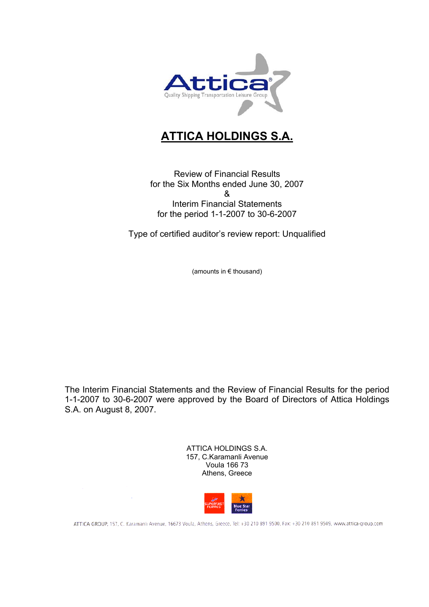

# **ATTICA HOLDINGS S.A.**

Review of Financial Results for the Six Months ended June 30, 2007 & Interim Financial Statements for the period 1-1-2007 to 30-6-2007

Type of certified auditor's review report: Unqualified

(amounts in € thousand)

The Interim Financial Statements and the Review of Financial Results for the period 1-1-2007 to 30-6-2007 were approved by the Board of Directors of Attica Holdings S.A. on August 8, 2007.

> ATTICA HOLDINGS S.A. 157, C.Karamanli Avenue Voula 166 73 Athens, Greece



ATTICA GROUP, 157, C. Karamanlı Avenue, 16673 Voula, Athens, Greece, Tel: +30 210 891 9500, Fax: +30 210 891 9509, www.attica-group.com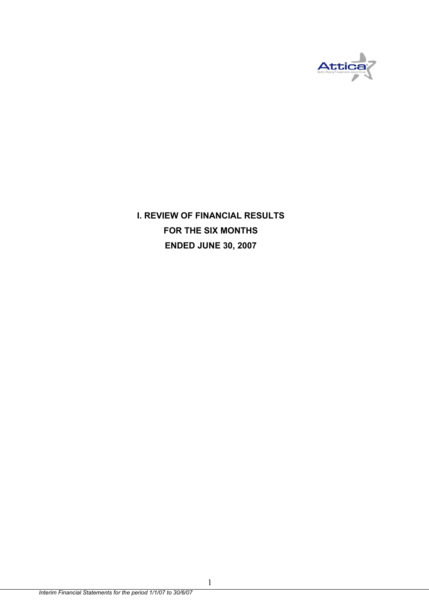

**I. REVIEW OF FINANCIAL RESULTS FOR THE SIX MONTHS ENDED JUNE 30, 2007** 

1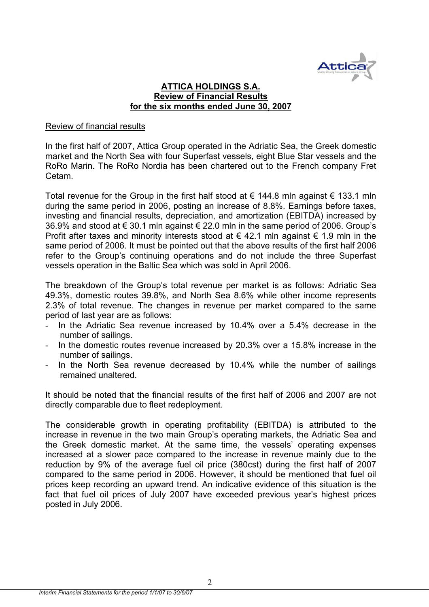

#### **ATTICA HOLDINGS S.A. Review of Financial Results for the six months ended June 30, 2007**

#### Review of financial results

In the first half of 2007, Attica Group operated in the Adriatic Sea, the Greek domestic market and the North Sea with four Superfast vessels, eight Blue Star vessels and the RoRo Marin. The RoRo Nordia has been chartered out to the French company Fret Cetam.

Total revenue for the Group in the first half stood at € 144.8 mln against  $∈$  133.1 mln during the same period in 2006, posting an increase of 8.8%. Earnings before taxes, investing and financial results, depreciation, and amortization (EBITDA) increased by 36.9% and stood at € 30.1 mln against  $∈$  22.0 mln in the same period of 2006. Group's Profit after taxes and minority interests stood at  $\epsilon$  42.1 mln against  $\epsilon$  1.9 mln in the same period of 2006. It must be pointed out that the above results of the first half 2006 refer to the Group's continuing operations and do not include the three Superfast vessels operation in the Baltic Sea which was sold in April 2006.

The breakdown of the Group's total revenue per market is as follows: Adriatic Sea 49.3%, domestic routes 39.8%, and North Sea 8.6% while other income represents 2.3% of total revenue. The changes in revenue per market compared to the same period of last year are as follows:

- In the Adriatic Sea revenue increased by 10.4% over a 5.4% decrease in the number of sailings.
- In the domestic routes revenue increased by 20.3% over a 15.8% increase in the number of sailings.
- In the North Sea revenue decreased by 10.4% while the number of sailings remained unaltered.

It should be noted that the financial results of the first half of 2006 and 2007 are not directly comparable due to fleet redeployment.

The considerable growth in operating profitability (EBITDA) is attributed to the increase in revenue in the two main Group's operating markets, the Adriatic Sea and the Greek domestic market. At the same time, the vessels' operating expenses increased at a slower pace compared to the increase in revenue mainly due to the reduction by 9% of the average fuel oil price (380cst) during the first half of 2007 compared to the same period in 2006. However, it should be mentioned that fuel oil prices keep recording an upward trend. An indicative evidence of this situation is the fact that fuel oil prices of July 2007 have exceeded previous year's highest prices posted in July 2006.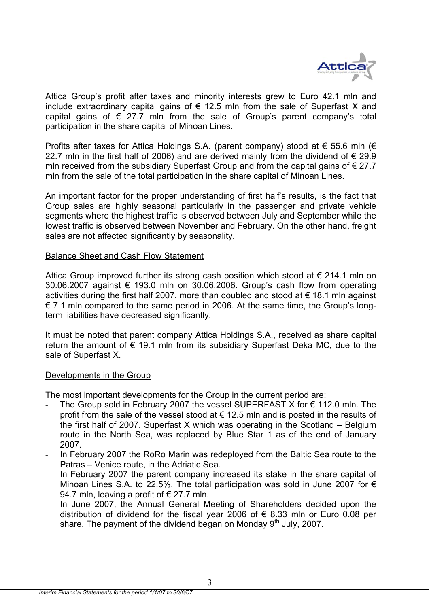

Attica Group's profit after taxes and minority interests grew to Euro 42.1 mln and include extraordinary capital gains of  $\epsilon$  12.5 mln from the sale of Superfast X and capital gains of  $\epsilon$  27.7 mln from the sale of Group's parent company's total participation in the share capital of Minoan Lines.

Profits after taxes for Attica Holdings S.A. (parent company) stood at  $\epsilon$  55.6 mln ( $\epsilon$ 22.7 mln in the first half of 2006) and are derived mainly from the dividend of  $\epsilon$  29.9 mln received from the subsidiary Superfast Group and from the capital gains of  $\epsilon$  27.7 mln from the sale of the total participation in the share capital of Minoan Lines.

An important factor for the proper understanding of first half's results, is the fact that Group sales are highly seasonal particularly in the passenger and private vehicle segments where the highest traffic is observed between July and September while the lowest traffic is observed between November and February. On the other hand, freight sales are not affected significantly by seasonality.

#### Balance Sheet and Cash Flow Statement

Attica Group improved further its strong cash position which stood at  $\epsilon$  214.1 mln on 30.06.2007 against  $€$  193.0 mln on 30.06.2006. Group's cash flow from operating activities during the first half 2007, more than doubled and stood at  $\epsilon$  18.1 mln against € 7.1 mln compared to the same period in 2006. At the same time, the Group's longterm liabilities have decreased significantly.

It must be noted that parent company Attica Holdings S.A., received as share capital return the amount of  $\epsilon$  19.1 mln from its subsidiary Superfast Deka MC, due to the sale of Superfast X.

#### Developments in the Group

The most important developments for the Group in the current period are:

- The Group sold in February 2007 the vessel SUPERFAST X for  $\epsilon$  112.0 mln. The profit from the sale of the vessel stood at  $\epsilon$  12.5 mln and is posted in the results of the first half of 2007. Superfast X which was operating in the Scotland – Belgium route in the North Sea, was replaced by Blue Star 1 as of the end of January 2007.
- In February 2007 the RoRo Marin was redeployed from the Baltic Sea route to the Patras – Venice route, in the Adriatic Sea.
- In February 2007 the parent company increased its stake in the share capital of Minoan Lines S.A. to 22.5%. The total participation was sold in June 2007 for € 94.7 mln, leaving a profit of  $\epsilon$  27.7 mln.
- In June 2007, the Annual General Meeting of Shareholders decided upon the distribution of dividend for the fiscal year 2006 of  $\epsilon$  8.33 mln or Euro 0.08 per share. The payment of the dividend began on Monday  $9<sup>th</sup>$  July, 2007.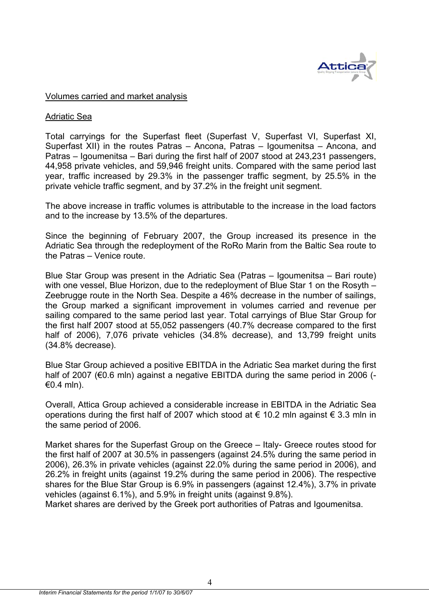

#### Volumes carried and market analysis

#### Adriatic Sea

Total carryings for the Superfast fleet (Superfast V, Superfast VI, Superfast XI, Superfast XII) in the routes Patras – Ancona, Patras – Igoumenitsa – Ancona, and Patras – Igoumenitsa – Bari during the first half of 2007 stood at 243,231 passengers, 44,958 private vehicles, and 59,946 freight units. Compared with the same period last year, traffic increased by 29.3% in the passenger traffic segment, by 25.5% in the private vehicle traffic segment, and by 37.2% in the freight unit segment.

The above increase in traffic volumes is attributable to the increase in the load factors and to the increase by 13.5% of the departures.

Since the beginning of February 2007, the Group increased its presence in the Adriatic Sea through the redeployment of the RoRo Marin from the Baltic Sea route to the Patras – Venice route.

Blue Star Group was present in the Adriatic Sea (Patras – Igoumenitsa – Bari route) with one vessel, Blue Horizon, due to the redeployment of Blue Star 1 on the Rosyth – Zeebrugge route in the North Sea. Despite a 46% decrease in the number of sailings, the Group marked a significant improvement in volumes carried and revenue per sailing compared to the same period last year. Total carryings of Blue Star Group for the first half 2007 stood at 55,052 passengers (40.7% decrease compared to the first half of 2006), 7,076 private vehicles (34.8% decrease), and 13,799 freight units (34.8% decrease).

Blue Star Group achieved a positive EBITDA in the Adriatic Sea market during the first half of 2007 (€0.6 mln) against a negative EBITDA during the same period in 2006 (-€0.4 mln).

Overall, Attica Group achieved a considerable increase in EBITDA in the Adriatic Sea operations during the first half of 2007 which stood at € 10.2 mln against  $\epsilon$  3.3 mln in the same period of 2006.

Market shares for the Superfast Group on the Greece – Italy- Greece routes stood for the first half of 2007 at 30.5% in passengers (against 24.5% during the same period in 2006), 26.3% in private vehicles (against 22.0% during the same period in 2006), and 26.2% in freight units (against 19.2% during the same period in 2006). The respective shares for the Blue Star Group is 6.9% in passengers (against 12.4%), 3.7% in private vehicles (against 6.1%), and 5.9% in freight units (against 9.8%).

Market shares are derived by the Greek port authorities of Patras and Igoumenitsa.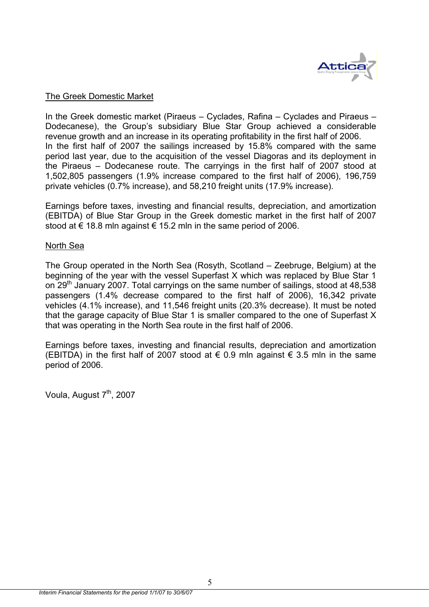

#### The Greek Domestic Market

In the Greek domestic market (Piraeus – Cyclades, Rafina – Cyclades and Piraeus – Dodecanese), the Group's subsidiary Blue Star Group achieved a considerable revenue growth and an increase in its operating profitability in the first half of 2006. In the first half of 2007 the sailings increased by 15.8% compared with the same period last year, due to the acquisition of the vessel Diagoras and its deployment in the Piraeus – Dodecanese route. The carryings in the first half of 2007 stood at 1,502,805 passengers (1.9% increase compared to the first half of 2006), 196,759 private vehicles (0.7% increase), and 58,210 freight units (17.9% increase).

Earnings before taxes, investing and financial results, depreciation, and amortization (EBITDA) of Blue Star Group in the Greek domestic market in the first half of 2007 stood at  $\epsilon$  18.8 mln against  $\epsilon$  15.2 mln in the same period of 2006.

#### North Sea

The Group operated in the North Sea (Rosyth, Scotland – Zeebruge, Belgium) at the beginning of the year with the vessel Superfast X which was replaced by Blue Star 1 on 29<sup>th</sup> January 2007. Total carryings on the same number of sailings, stood at 48,538 passengers (1.4% decrease compared to the first half of 2006), 16,342 private vehicles (4.1% increase), and 11,546 freight units (20.3% decrease). It must be noted that the garage capacity of Blue Star 1 is smaller compared to the one of Superfast X that was operating in the North Sea route in the first half of 2006.

Earnings before taxes, investing and financial results, depreciation and amortization (EBITDA) in the first half of 2007 stood at € 0.9 mln against  $€$  3.5 mln in the same period of 2006.

Voula, August 7<sup>th</sup>, 2007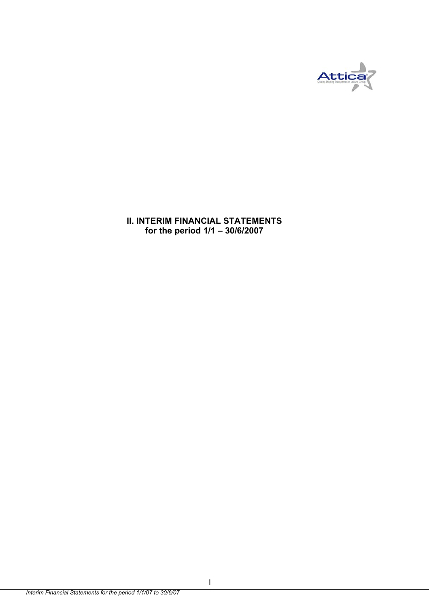

**II. INTERIM FINANCIAL STATEMENTS for the period 1/1 – 30/6/2007**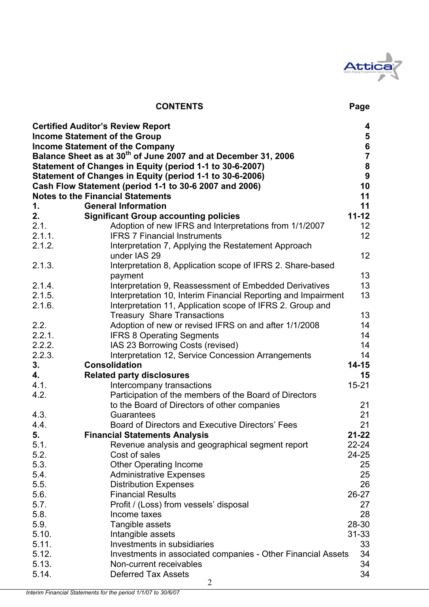

# **CONTENTS Page**

|          | <b>Certified Auditor's Review Report</b>                                   | 4                                          |
|----------|----------------------------------------------------------------------------|--------------------------------------------|
|          | <b>Income Statement of the Group</b>                                       | $\bf{5}$                                   |
|          | <b>Income Statement of the Company</b>                                     |                                            |
|          | Balance Sheet as at 30 <sup>th</sup> of June 2007 and at December 31, 2006 | $\begin{array}{c} 6 \\ 7 \\ 8 \end{array}$ |
|          | Statement of Changes in Equity (period 1-1 to 30-6-2007)                   |                                            |
|          | Statement of Changes in Equity (period 1-1 to 30-6-2006)                   | $\boldsymbol{9}$                           |
|          | Cash Flow Statement (period 1-1 to 30-6 2007 and 2006)                     | 10                                         |
|          | <b>Notes to the Financial Statements</b>                                   | 11                                         |
| 1.       | <b>General Information</b>                                                 | 11                                         |
| 2.       | <b>Significant Group accounting policies</b>                               | $11 - 12$                                  |
| 2.1.     | Adoption of new IFRS and Interpretations from 1/1/2007                     | 12                                         |
| 2.1.1.   | <b>IFRS 7 Financial Instruments</b>                                        | 12                                         |
| 2.1.2.   | Interpretation 7, Applying the Restatement Approach                        |                                            |
|          | under IAS 29                                                               | 12                                         |
| 2.1.3.   | Interpretation 8, Application scope of IFRS 2. Share-based                 |                                            |
|          | payment                                                                    | 13                                         |
| 2.1.4.   | Interpretation 9, Reassessment of Embedded Derivatives                     | 13                                         |
| 2.1.5.   | Interpretation 10, Interim Financial Reporting and Impairment              | 13                                         |
| 2.1.6.   | Interpretation 11, Application scope of IFRS 2. Group and                  |                                            |
|          | <b>Treasury Share Transactions</b>                                         | 13                                         |
| 2.2.     | Adoption of new or revised IFRS on and after 1/1/2008                      | 14                                         |
| 2.2.1.   | <b>IFRS 8 Operating Segments</b>                                           | 14                                         |
| 2.2.2.   | IAS 23 Borrowing Costs (revised)                                           | 14                                         |
| 2.2.3.   | Interpretation 12, Service Concession Arrangements<br><b>Consolidation</b> | 14<br>$14 - 15$                            |
| 3.<br>4. |                                                                            | 15                                         |
| 4.1.     | <b>Related party disclosures</b><br>Intercompany transactions              | $15 - 21$                                  |
| 4.2.     | Participation of the members of the Board of Directors                     |                                            |
|          | to the Board of Directors of other companies                               | 21                                         |
| 4.3.     | Guarantees                                                                 | 21                                         |
| 4.4.     | Board of Directors and Executive Directors' Fees                           | 21                                         |
| 5.       | <b>Financial Statements Analysis</b>                                       | $21 - 22$                                  |
| 5.1.     | Revenue analysis and geographical segment report                           | 22-24                                      |
| 5.2.     | Cost of sales                                                              | 24-25                                      |
| 5.3.     | <b>Other Operating Income</b>                                              | 25                                         |
| 5.4.     | <b>Administrative Expenses</b>                                             | 25                                         |
| 5.5.     | <b>Distribution Expenses</b>                                               | 26                                         |
| 5.6.     | <b>Financial Results</b>                                                   | $26 - 27$                                  |
| 5.7.     | Profit / (Loss) from vessels' disposal                                     | 27                                         |
| 5.8.     | Income taxes                                                               | 28                                         |
| 5.9.     | Tangible assets                                                            | 28-30                                      |
| 5.10.    | Intangible assets                                                          | $31 - 33$                                  |
| 5.11.    | Investments in subsidiaries                                                | 33                                         |
| 5.12.    | Investments in associated companies - Other Financial Assets               | 34                                         |
| 5.13.    | Non-current receivables                                                    | 34                                         |
| 5.14.    | <b>Deferred Tax Assets</b>                                                 | 34                                         |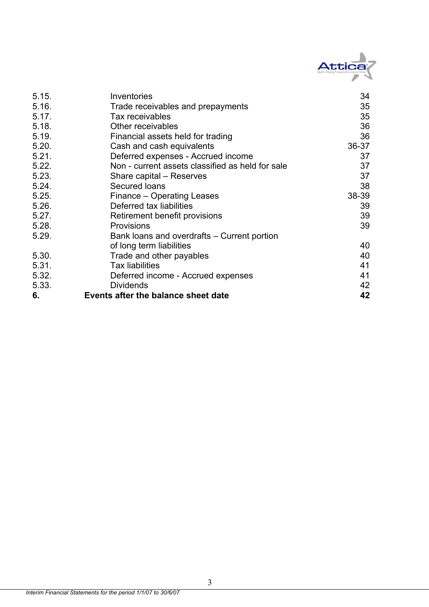

| 5.15. | Inventories                                      | 34    |
|-------|--------------------------------------------------|-------|
| 5.16. | Trade receivables and prepayments                | 35    |
| 5.17. | Tax receivables                                  | 35    |
| 5.18. | Other receivables                                | 36    |
| 5.19. | Financial assets held for trading                | 36    |
| 5.20. | Cash and cash equivalents                        | 36-37 |
| 5.21. | Deferred expenses - Accrued income               | 37    |
| 5.22. | Non - current assets classified as held for sale | 37    |
| 5.23. | Share capital - Reserves                         | 37    |
| 5.24. | Secured Ioans                                    | 38    |
| 5.25. | Finance - Operating Leases                       | 38-39 |
| 5.26. | Deferred tax liabilities                         | 39    |
| 5.27. | Retirement benefit provisions                    | 39    |
| 5.28. | <b>Provisions</b>                                | 39    |
| 5.29. | Bank loans and overdrafts – Current portion      |       |
|       | of long term liabilities                         | 40    |
| 5.30. | Trade and other payables                         | 40    |
| 5.31. | <b>Tax liabilities</b>                           | 41    |
| 5.32. | Deferred income - Accrued expenses               | 41    |
| 5.33. | <b>Dividends</b>                                 | 42    |
| 6.    | Events after the balance sheet date              | 42    |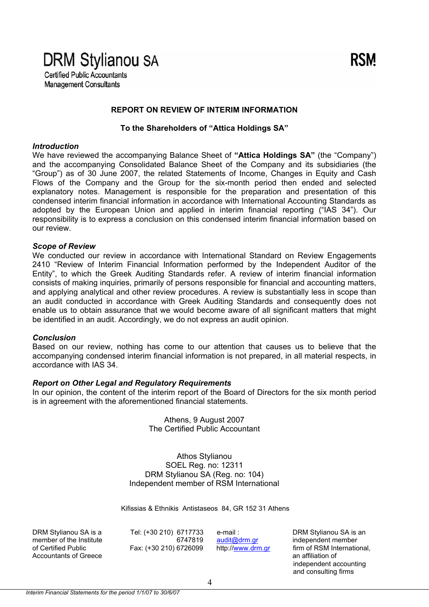# **DRM Stylianou SA**

**Certified Public Accountants Management Consultants** 

#### **REPORT ON REVIEW OF INTERIM INFORMATION**

**To the Shareholders of "Attica Holdings SA"** 

#### *Introduction*

We have reviewed the accompanying Balance Sheet of **"Attica Holdings SA"** (the "Company") and the accompanying Consolidated Balance Sheet of the Company and its subsidiaries (the "Group") as of 30 June 2007, the related Statements of Income, Changes in Equity and Cash Flows of the Company and the Group for the six-month period then ended and selected explanatory notes. Management is responsible for the preparation and presentation of this condensed interim financial information in accordance with International Accounting Standards as adopted by the European Union and applied in interim financial reporting ("IAS 34"). Our responsibility is to express a conclusion on this condensed interim financial information based on our review.

#### *Scope of Review*

We conducted our review in accordance with International Standard on Review Engagements 2410 "Review of Interim Financial Information performed by the Independent Auditor of the Entity", to which the Greek Auditing Standards refer. A review of interim financial information consists of making inquiries, primarily of persons responsible for financial and accounting matters, and applying analytical and other review procedures. A review is substantially less in scope than an audit conducted in accordance with Greek Auditing Standards and consequently does not enable us to obtain assurance that we would become aware of all significant matters that might be identified in an audit. Accordingly, we do not express an audit opinion.

#### *Conclusion*

Based on our review, nothing has come to our attention that causes us to believe that the accompanying condensed interim financial information is not prepared, in all material respects, in accordance with IAS 34.

#### *Report on Other Legal and Regulatory Requirements*

In our opinion, the content of the interim report of the Board of Directors for the six month period is in agreement with the aforementioned financial statements.

> Athens, 9 August 2007 The Certified Public Accountant

Athos Stylianou SOEL Reg. no: 12311 DRM Stylianou SA (Reg. no: 104) Independent member of RSM International

Kifissias & Ethnikis Antistaseos 84, GR 152 31 Athens

DRM Stylianou SA is a Tel: (+30 210) 6717733 e-mail : DRM Stylianou SA is an Accountants of Greece and The Countains of Greece an affiliation of

member of the Institute 6747819 audit@drm.gr independent member

of Certified Public Fax: (+30 210) 6726099 http://www.drm.gr firm of RSM International, independent accounting and consulting firms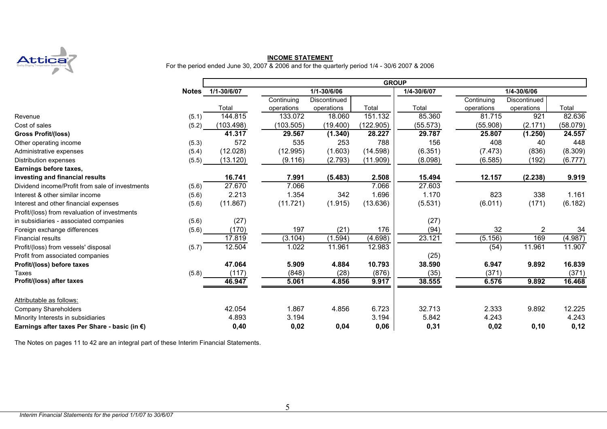

**INCOME STATEMENT**<br>For the period ended June 30, 2007 & 2006 and for the quarterly period 1/4 - 30/6 2007 & 2006

|                                                 |       |                   |            |              |           | <b>GROUP</b> |            |              |          |
|-------------------------------------------------|-------|-------------------|------------|--------------|-----------|--------------|------------|--------------|----------|
|                                                 |       | Notes 1/1-30/6/07 |            | 1/1-30/6/06  |           | 1/4-30/6/07  |            | 1/4-30/6/06  |          |
|                                                 |       |                   | Continuing | Discontinued |           |              | Continuing | Discontinued |          |
|                                                 |       | Total             | operations | operations   | Total     | Total        | operations | operations   | Total    |
| Revenue                                         | (5.1) | 144.815           | 133.072    | 18.060       | 151.132   | 85.360       | 81.715     | 921          | 82.636   |
| Cost of sales                                   | (5.2) | (103.498)         | (103.505)  | (19.400)     | (122.905) | (55.573)     | (55.908)   | (2.171)      | (58.079) |
| <b>Gross Profit/(loss)</b>                      |       | 41.317            | 29.567     | (1.340)      | 28.227    | 29.787       | 25.807     | (1.250)      | 24.557   |
| Other operating income                          | (5.3) | 572               | 535        | 253          | 788       | 156          | 408        | 40           | 448      |
| Administrative expenses                         | (5.4) | (12.028)          | (12.995)   | (1.603)      | (14.598)  | (6.351)      | (7.473)    | (836)        | (8.309)  |
| Distribution expenses                           | (5.5) | (13.120)          | (9.116)    | (2.793)      | (11.909)  | (8.098)      | (6.585)    | (192)        | (6.777)  |
| Earnings before taxes,                          |       |                   |            |              |           |              |            |              |          |
| investing and financial results                 |       | 16.741            | 7.991      | (5.483)      | 2.508     | 15.494       | 12.157     | (2.238)      | 9.919    |
| Dividend income/Profit from sale of investments | (5.6) | 27.670            | 7.066      |              | 7.066     | 27.603       |            |              |          |
| Interest & other similar income                 | (5.6) | 2.213             | 1.354      | 342          | 1.696     | 1.170        | 823        | 338          | 1.161    |
| Interest and other financial expenses           | (5.6) | (11.867)          | (11.721)   | (1.915)      | (13.636)  | (5.531)      | (6.011)    | (171)        | (6.182)  |
| Profit/(loss) from revaluation of investments   |       |                   |            |              |           |              |            |              |          |
| in subsidiaries - associated companies          | (5.6) | (27)              |            |              |           | (27)         |            |              |          |
| Foreign exchange differences                    | (5.6) | (170)             | 197        | (21)         | 176       | (94)         | 32         | 2            | 34       |
| <b>Financial results</b>                        |       | 17.819            | (3.104)    | (1.594)      | (4.698)   | 23.121       | (5.156)    | 169          | (4.987)  |
| Profit/(loss) from vessels' disposal            | (5.7) | 12.504            | 1.022      | 11.961       | 12.983    |              | (54)       | 11.961       | 11.907   |
| Profit from associated companies                |       |                   |            |              |           | (25)         |            |              |          |
| Profit/(loss) before taxes                      |       | 47.064            | 5.909      | 4.884        | 10.793    | 38.590       | 6.947      | 9.892        | 16.839   |
| Taxes                                           | (5.8) | (117)             | (848)      | (28)         | (876)     | (35)         | (371)      |              | (371)    |
| Profit/(loss) after taxes                       |       | 46.947            | 5.061      | 4.856        | 9.917     | 38.555       | 6.576      | 9.892        | 16.468   |
| Attributable as follows:                        |       |                   |            |              |           |              |            |              |          |
| Company Shareholders                            |       | 42.054            | 1.867      | 4.856        | 6.723     | 32.713       | 2.333      | 9.892        | 12.225   |
| Minority Interests in subsidiaries              |       | 4.893             | 3.194      |              | 3.194     | 5.842        | 4.243      |              | 4.243    |
| Earnings after taxes Per Share - basic (in €)   |       | 0,40              | 0,02       | 0,04         | 0,06      | 0,31         | 0,02       | 0, 10        | 0,12     |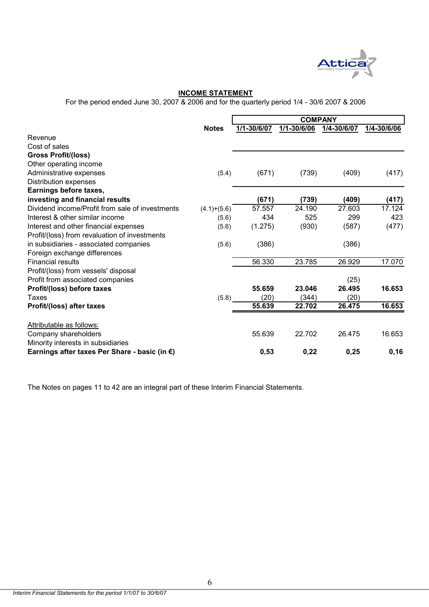

#### **INCOME STATEMENT**

For the period ended June 30, 2007 & 2006 and for the quarterly period 1/4 - 30/6 2007 & 2006

|                                                 |               | <b>COMPANY</b> |             |             |             |  |
|-------------------------------------------------|---------------|----------------|-------------|-------------|-------------|--|
|                                                 | <b>Notes</b>  | 1/1-30/6/07    | 1/1-30/6/06 | 1/4-30/6/07 | 1/4-30/6/06 |  |
| Revenue                                         |               |                |             |             |             |  |
| Cost of sales                                   |               |                |             |             |             |  |
| <b>Gross Profit/(loss)</b>                      |               |                |             |             |             |  |
| Other operating income                          |               |                |             |             |             |  |
| Administrative expenses                         | (5.4)         | (671)          | (739)       | (409)       | (417)       |  |
| Distribution expenses                           |               |                |             |             |             |  |
| Earnings before taxes,                          |               |                |             |             |             |  |
| investing and financial results                 |               | (671)          | (739)       | (409)       | (417)       |  |
| Dividend income/Profit from sale of investments | $(4.1)+(5.6)$ | 57.557         | 24.190      | 27.603      | 17.124      |  |
| Interest & other similar income                 | (5.6)         | 434            | 525         | 299         | 423         |  |
| Interest and other financial expenses           | (5.6)         | (1.275)        | (930)       | (587)       | (477)       |  |
| Profit/(loss) from revaluation of investments   |               |                |             |             |             |  |
| in subsidiaries - associated companies          | (5.6)         | (386)          |             | (386)       |             |  |
| Foreign exchange differences                    |               |                |             |             |             |  |
| <b>Financial results</b>                        |               | 56.330         | 23.785      | 26.929      | 17.070      |  |
| Profit/(loss) from vessels' disposal            |               |                |             |             |             |  |
| Profit from associated companies                |               |                |             | (25)        |             |  |
| Profit/(loss) before taxes                      |               | 55.659         | 23.046      | 26.495      | 16.653      |  |
| Taxes                                           | (5.8)         | (20)           | (344)       | (20)        |             |  |
| Profit/(loss) after taxes                       |               | 55.639         | 22.702      | 26.475      | 16.653      |  |
| Attributable as follows:                        |               |                |             |             |             |  |
| Company shareholders                            |               | 55.639         | 22.702      | 26.475      | 16.653      |  |
| Minority interests in subsidiaries              |               |                |             |             |             |  |
| Earnings after taxes Per Share - basic (in €)   |               | 0,53           | 0,22        | 0,25        | 0, 16       |  |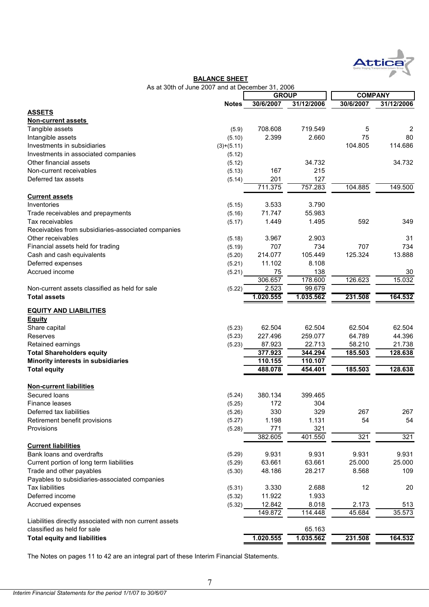

#### **BALANCE SHEET**

|  | As at 30th of June 2007 and at December 31, 2006 |  |  |  |
|--|--------------------------------------------------|--|--|--|
|  |                                                  |  |  |  |

|                                                         |              | <b>GROUP</b> |            | <b>COMPANY</b> |            |  |
|---------------------------------------------------------|--------------|--------------|------------|----------------|------------|--|
|                                                         | <b>Notes</b> | 30/6/2007    | 31/12/2006 | 30/6/2007      | 31/12/2006 |  |
| <b>ASSETS</b>                                           |              |              |            |                |            |  |
| <b>Non-current assets</b>                               |              |              |            |                |            |  |
| Tangible assets                                         | (5.9)        | 708.608      | 719.549    | 5              | 2          |  |
| Intangible assets                                       | (5.10)       | 2.399        | 2.660      | 75             | 80         |  |
| Investments in subsidiaries                             | $(3)+(5.11)$ |              |            | 104.805        | 114.686    |  |
| Investments in associated companies                     | (5.12)       |              |            |                |            |  |
| Other financial assets                                  | (5.12)       |              | 34.732     |                | 34.732     |  |
| Non-current receivables                                 | (5.13)       | 167          | 215        |                |            |  |
| Deferred tax assets                                     | (5.14)       | 201          | 127        |                |            |  |
|                                                         |              | 711.375      | 757.283    | 104.885        | 149.500    |  |
| <b>Current assets</b>                                   |              |              |            |                |            |  |
| Inventories                                             | (5.15)       | 3.533        | 3.790      |                |            |  |
| Trade receivables and prepayments                       | (5.16)       | 71.747       | 55.983     |                |            |  |
| Tax receivables                                         | (5.17)       | 1.449        | 1.495      | 592            | 349        |  |
| Receivables from subsidiaries-associated companies      |              |              |            |                |            |  |
| Other receivables                                       | (5.18)       | 3.967        | 2.903      |                | 31         |  |
| Financial assets held for trading                       | (5.19)       | 707          | 734        | 707            | 734        |  |
| Cash and cash equivalents                               | (5.20)       | 214.077      | 105.449    | 125.324        | 13.888     |  |
| Deferred expenses                                       | (5.21)       | 11.102       | 8.108      |                |            |  |
| Accrued income                                          | (5.21)       | 75           | 138        |                | 30         |  |
|                                                         |              | 306.657      | 178.600    | 126.623        | 15.032     |  |
| Non-current assets classified as held for sale          | (5.22)       | 2.523        | 99.679     |                |            |  |
| <b>Total assets</b>                                     |              | 1.020.555    | 1.035.562  | 231.508        | 164.532    |  |
|                                                         |              |              |            |                |            |  |
| <b>EQUITY AND LIABILITIES</b>                           |              |              |            |                |            |  |
| <b>Equity</b>                                           |              |              |            |                |            |  |
| Share capital                                           | (5.23)       | 62.504       | 62.504     | 62.504         | 62.504     |  |
| Reserves                                                | (5.23)       | 227.496      | 259.077    | 64.789         | 44.396     |  |
| Retained earnings                                       | (5.23)       | 87.923       | 22.713     | 58.210         | 21.738     |  |
| <b>Total Shareholders equity</b>                        |              | 377.923      | 344.294    | 185.503        | 128.638    |  |
| Minority interests in subsidiaries                      |              | 110.155      | 110.107    |                |            |  |
| <b>Total equity</b>                                     |              | 488.078      | 454.401    | 185.503        | 128.638    |  |
|                                                         |              |              |            |                |            |  |
| <b>Non-current liabilities</b>                          |              |              |            |                |            |  |
| Secured Ioans                                           | (5.24)       | 380.134      | 399.465    |                |            |  |
| Finance leases                                          | (5.25)       | 172          | 304        |                |            |  |
| Deferred tax liabilities                                | (5.26)       | 330          | 329        | 267            | 267        |  |
| Retirement benefit provisions                           | (5.27)       | 1.198        | 1.131      | 54             | 54         |  |
| Provisions                                              | (5.28)       | 771          | 321        |                |            |  |
|                                                         |              | 382.605      | 401.550    | 321            | 321        |  |
| <b>Current liabilities</b>                              |              |              |            |                |            |  |
| Bank loans and overdrafts                               | (5.29)       | 9.931        | 9.931      | 9.931          | 9.931      |  |
| Current portion of long term liabilities                | (5.29)       | 63.661       | 63.661     | 25.000         | 25.000     |  |
| Trade and other payables                                | (5.30)       | 48.186       | 28.217     | 8.568          | 109        |  |
| Payables to subsidiaries-associated companies           |              |              |            |                |            |  |
| <b>Tax liabilities</b>                                  | (5.31)       | 3.330        | 2.688      | 12             | 20         |  |
| Deferred income                                         | (5.32)       | 11.922       | 1.933      |                |            |  |
| Accrued expenses                                        | (5.32)       | 12.842       | 8.018      | 2.173          | 513        |  |
|                                                         |              | 149.872      | 114.448    | 45.684         | 35.573     |  |
| Liabilities directly associated with non current assets |              |              |            |                |            |  |
| classified as held for sale                             |              |              | 65.163     |                |            |  |
| <b>Total equity and liabilities</b>                     |              | 1.020.555    | 1.035.562  | 231.508        | 164.532    |  |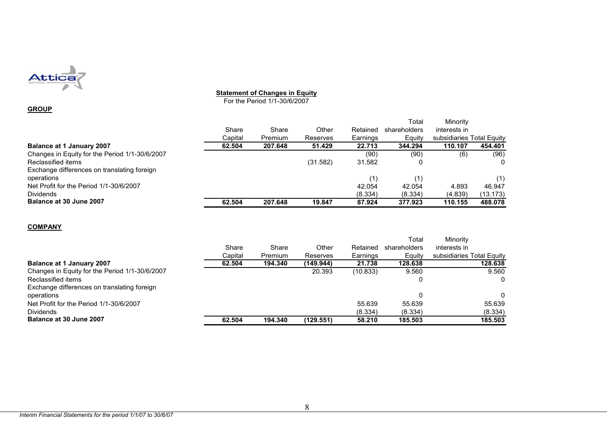

#### **Statement of Changes in Equity**

For the Period 1/1-30/6/2007

#### **GROUP**

|                                                |         |         |          |          | Total        | Minority                  |          |
|------------------------------------------------|---------|---------|----------|----------|--------------|---------------------------|----------|
|                                                | Share   | Share   | Other    | Retained | shareholders | interests in              |          |
|                                                | Capital | Premium | Reserves | Earnings | Equity       | subsidiaries Total Equity |          |
| Balance at 1 January 2007                      | 62.504  | 207.648 | 51.429   | 22.713   | 344.294      | 110.107                   | 454.401  |
| Changes in Equity for the Period 1/1-30/6/2007 |         |         |          | (90)     | (90)         | (6)                       | (96)     |
| Reclassified items                             |         |         | (31.582) | 31.582   |              |                           |          |
| Exchange differences on translating foreign    |         |         |          |          |              |                           |          |
| operations                                     |         |         |          | (1)      |              |                           | (1)      |
| Net Profit for the Period 1/1-30/6/2007        |         |         |          | 42.054   | 42.054       | 4.893                     | 46.947   |
| <b>Dividends</b>                               |         |         |          | (8.334)  | (8.334)      | (4.839)                   | (13.173) |
| Balance at 30 June 2007                        | 62.504  | 207.648 | 19.847   | 87.924   | 377.923      | 110.155                   | 488.078  |

**COMPANY**

|                                                |         |         |           |          | Total        | Minority                  |
|------------------------------------------------|---------|---------|-----------|----------|--------------|---------------------------|
|                                                | Share   | Share   | Other     | Retained | shareholders | interests in              |
|                                                | Capital | Premium | Reserves  | Earnings | Equity       | subsidiaries Total Equity |
| Balance at 1 January 2007                      | 62.504  | 194.340 | (149.944) | 21.738   | 128.638      | 128.638                   |
| Changes in Equity for the Period 1/1-30/6/2007 |         |         | 20.393    | (10.833) | 9.560        | 9.560                     |
| Reclassified items                             |         |         |           |          | 0            | 0                         |
| Exchange differences on translating foreign    |         |         |           |          |              |                           |
| operations                                     |         |         |           |          | 0            | 0                         |
| Net Profit for the Period 1/1-30/6/2007        |         |         |           | 55.639   | 55.639       | 55.639                    |
| <b>Dividends</b>                               |         |         |           | (8.334)  | (8.334)      | (8.334)                   |
| Balance at 30 June 2007                        | 62.504  | 194.340 | (129.551) | 58.210   | 185.503      | 185.503                   |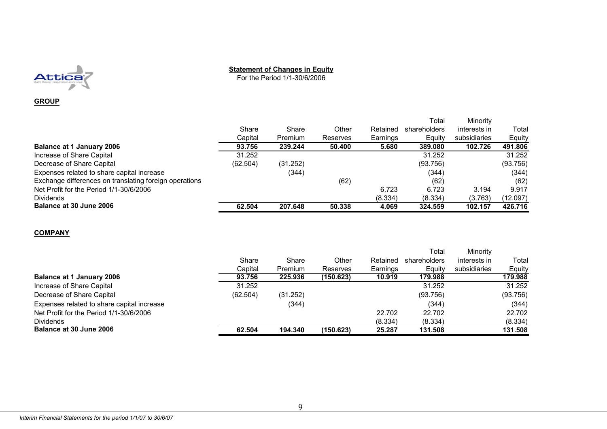

#### **Statement of Changes in Equity**

For the Period 1/1-30/6/2006

#### **GROUP**

|          |          |          |          | Total        | Minority     |          |
|----------|----------|----------|----------|--------------|--------------|----------|
| Share    | Share    | Other    | Retained | shareholders | interests in | Total    |
| Capital  | Premium  | Reserves | Earnings | Equity       | subsidiaries | Equity   |
| 93.756   | 239.244  | 50.400   | 5.680    | 389.080      | 102.726      | 491.806  |
| 31.252   |          |          |          | 31.252       |              | 31.252   |
| (62.504) | (31.252) |          |          | (93.756)     |              | (93.756) |
|          | (344)    |          |          | (344)        |              | (344)    |
|          |          | (62)     |          | (62)         |              | (62)     |
|          |          |          | 6.723    | 6.723        | 3.194        | 9.917    |
|          |          |          | (8.334)  | (8.334)      | (3.763)      | (12.097) |
| 62.504   | 207.648  | 50,338   | 4.069    | 324.559      | 102.157      | 426.716  |
|          |          |          |          |              |              |          |

#### **COMPANY**

|                                            |          |                |           |          | Total        | Minority     |          |
|--------------------------------------------|----------|----------------|-----------|----------|--------------|--------------|----------|
|                                            | Share    | Share          | Other     | Retained | shareholders | interests in | Total    |
|                                            | Capital  | <b>Premium</b> | Reserves  | Earnings | Equity       | subsidiaries | Equity   |
| <b>Balance at 1 January 2006</b>           | 93.756   | 225,936        | (150.623) | 10.919   | 179.988      |              | 179,988  |
| Increase of Share Capital                  | 31.252   |                |           |          | 31.252       |              | 31.252   |
| Decrease of Share Capital                  | (62.504) | (31.252)       |           |          | (93.756)     |              | (93.756) |
| Expenses related to share capital increase |          | (344)          |           |          | (344)        |              | (344)    |
| Net Profit for the Period 1/1-30/6/2006    |          |                |           | 22.702   | 22.702       |              | 22.702   |
| <b>Dividends</b>                           |          |                |           | (8.334)  | (8.334)      |              | (8.334)  |
| <b>Balance at 30 June 2006</b>             | 62.504   | 194.340        | (150.623) | 25.287   | 131.508      |              | 131.508  |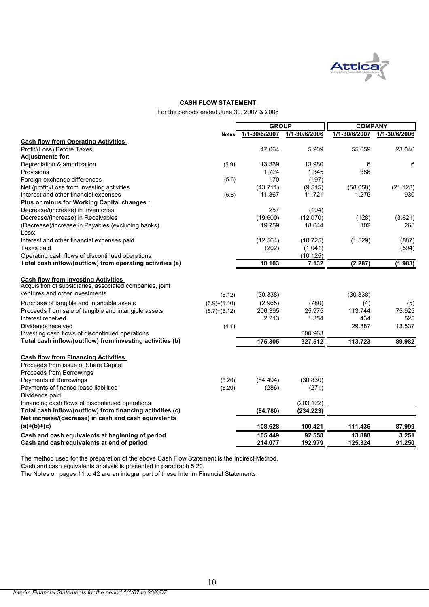

#### **CASH FLOW STATEMENT**

For the periods ended June 30, 2007 & 2006

|                                                                                                              |                | <b>GROUP</b>  |               | <b>COMPANY</b> |               |
|--------------------------------------------------------------------------------------------------------------|----------------|---------------|---------------|----------------|---------------|
|                                                                                                              | <b>Notes</b>   | 1/1-30/6/2007 | 1/1-30/6/2006 | 1/1-30/6/2007  | 1/1-30/6/2006 |
| <b>Cash flow from Operating Activities</b>                                                                   |                |               |               |                |               |
| Profit/(Loss) Before Taxes                                                                                   |                | 47.064        | 5.909         | 55.659         | 23.046        |
| <b>Adjustments for:</b>                                                                                      |                |               |               |                |               |
| Depreciation & amortization                                                                                  | (5.9)          | 13.339        | 13.980        | 6              | 6             |
| <b>Provisions</b>                                                                                            |                | 1.724         | 1.345         | 386            |               |
| Foreign exchange differences                                                                                 | (5.6)          | 170           | (197)         |                |               |
| Net (profit)/Loss from investing activities                                                                  |                | (43.711)      | (9.515)       | (58.058)       | (21.128)      |
| Interest and other financial expenses                                                                        | (5.6)          | 11.867        | 11.721        | 1.275          | 930           |
| Plus or minus for Working Capital changes :                                                                  |                |               |               |                |               |
| Decrease/(increase) in Inventories                                                                           |                | 257           | (194)         |                |               |
| Decrease/(increase) in Receivables                                                                           |                | (19.600)      | (12.070)      | (128)          | (3.621)       |
| (Decrease)/increase in Payables (excluding banks)                                                            |                | 19.759        | 18.044        | 102            | 265           |
| Less:                                                                                                        |                |               |               |                |               |
| Interest and other financial expenses paid                                                                   |                | (12.564)      | (10.725)      | (1.529)        | (887)         |
| Taxes paid                                                                                                   |                | (202)         | (1.041)       |                | (594)         |
| Operating cash flows of discontinued operations                                                              |                |               | (10.125)      |                |               |
| Total cash inflow/(outflow) from operating activities (a)                                                    |                | 18.103        | 7.132         | (2.287)        | (1.983)       |
|                                                                                                              |                |               |               |                |               |
| <b>Cash flow from Investing Activities</b>                                                                   |                |               |               |                |               |
| Acquisition of subsidiaries, associated companies, joint                                                     |                |               |               |                |               |
| ventures and other investments                                                                               | (5.12)         | (30.338)      |               | (30.338)       |               |
| Purchase of tangible and intangible assets                                                                   | $(5.9)+(5.10)$ | (2.965)       | (780)         | (4)            |               |
| Proceeds from sale of tangible and intangible assets                                                         |                | 206.395       | 25.975        | 113.744        | (5)<br>75.925 |
| Interest received                                                                                            | $(5.7)+(5.12)$ | 2.213         | 1.354         | 434            | 525           |
|                                                                                                              |                |               |               | 29.887         | 13.537        |
| Dividends received                                                                                           | (4.1)          |               |               |                |               |
| Investing cash flows of discontinued operations                                                              |                |               | 300.963       |                |               |
| Total cash inflow/(outflow) from investing activities (b)                                                    |                | 175.305       | 327.512       | 113.723        | 89.982        |
| <b>Cash flow from Financing Activities</b>                                                                   |                |               |               |                |               |
| Proceeds from issue of Share Capital                                                                         |                |               |               |                |               |
| Proceeds from Borrowings                                                                                     |                |               |               |                |               |
| Payments of Borrowings                                                                                       | (5.20)         | (84.494)      | (30.830)      |                |               |
| Payments of finance lease liabilities                                                                        | (5.20)         | (286)         | (271)         |                |               |
| Dividends paid                                                                                               |                |               |               |                |               |
|                                                                                                              |                |               |               |                |               |
| Financing cash flows of discontinued operations<br>Total cash inflow/(outflow) from financing activities (c) |                |               | (203.122)     |                |               |
| Net increase/(decrease) in cash and cash equivalents                                                         |                | (84.780)      | (234.223)     |                |               |
| $(a)+(b)+(c)$                                                                                                |                | 108.628       | 100.421       | 111.436        | 87.999        |
|                                                                                                              |                |               |               |                |               |
| Cash and cash equivalents at beginning of period                                                             |                | 105.449       | 92.558        | 13.888         | 3.251         |
| Cash and cash equivalents at end of period                                                                   |                | 214.077       | 192.979       | 125.324        | 91.250        |

The method used for the preparation of the above Cash Flow Statement is the Indirect Method.

Cash and cash equivalents analysis is presented in paragraph 5.20.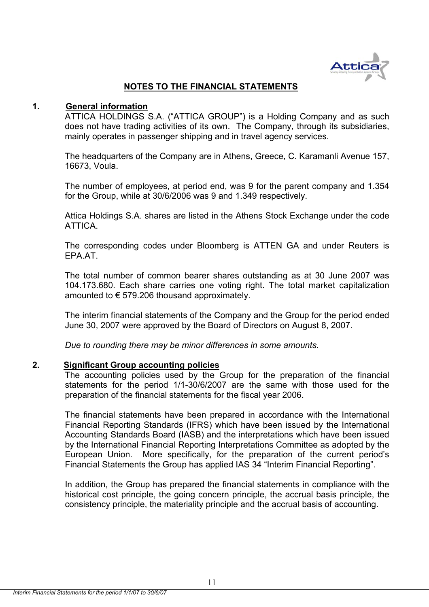

## **NOTES TO THE FINANCIAL STATEMENTS**

#### **1. General information**

ATTICA HOLDINGS S.A. ("ATTICA GROUP") is a Holding Company and as such does not have trading activities of its own. The Company, through its subsidiaries, mainly operates in passenger shipping and in travel agency services.

The headquarters of the Company are in Athens, Greece, C. Karamanli Avenue 157, 16673, Voula.

The number of employees, at period end, was 9 for the parent company and 1.354 for the Group, while at 30/6/2006 was 9 and 1.349 respectively.

Attica Holdings S.A. shares are listed in the Athens Stock Exchange under the code ATTICA.

The corresponding codes under Bloomberg is ATTEN GA and under Reuters is EPA.AT.

The total number of common bearer shares outstanding as at 30 June 2007 was 104.173.680. Each share carries one voting right. The total market capitalization amounted to  $\epsilon$  579.206 thousand approximately.

The interim financial statements of the Company and the Group for the period ended June 30, 2007 were approved by the Board of Directors on August 8, 2007.

*Due to rounding there may be minor differences in some amounts.* 

#### **2. Significant Group accounting policies**

The accounting policies used by the Group for the preparation of the financial statements for the period 1/1-30/6/2007 are the same with those used for the preparation of the financial statements for the fiscal year 2006.

The financial statements have been prepared in accordance with the International Financial Reporting Standards (IFRS) which have been issued by the International Accounting Standards Board (IASB) and the interpretations which have been issued by the International Financial Reporting Interpretations Committee as adopted by the European Union. More specifically, for the preparation of the current period's Financial Statements the Group has applied IAS 34 "Interim Financial Reporting".

In addition, the Group has prepared the financial statements in compliance with the historical cost principle, the going concern principle, the accrual basis principle, the consistency principle, the materiality principle and the accrual basis of accounting.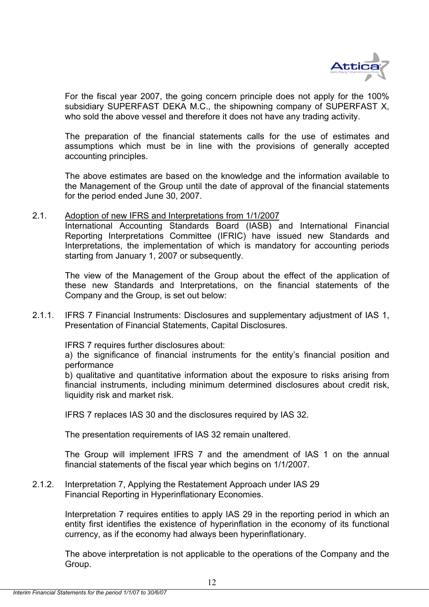

For the fiscal year 2007, the going concern principle does not apply for the 100% subsidiary SUPERFAST DEKA M.C., the shipowning company of SUPERFAST X, who sold the above vessel and therefore it does not have any trading activity.

The preparation of the financial statements calls for the use of estimates and assumptions which must be in line with the provisions of generally accepted accounting principles.

The above estimates are based οn the knowledge and the information available to the Management of the Group until the date of approval of the financial statements for the period ended June 30, 2007.

#### 2.1. Adoption of new IFRS and Interpretations from 1/1/2007

 International Accounting Standards Board (IASB) and International Financial Reporting Interpretations Committee (IFRIC) have issued new Standards and Interpretations, the implementation of which is mandatory for accounting periods starting from January 1, 2007 or subsequently.

 The view of the Management of the Group about the effect of the application of these new Standards and Interpretations, on the financial statements of the Company and the Group, is set out below:

2.1.1. IFRS 7 Financial Instruments: Disclosures and supplementary adjustment of IAS 1, Presentation of Financial Statements, Capital Disclosures.

IFRS 7 requires further disclosures about:

 a) the significance of financial instruments for the entity's financial position and performance

 b) qualitative and quantitative information about the exposure to risks arising from financial instruments, including minimum determined disclosures about credit risk, liquidity risk and market risk.

IFRS 7 replaces IAS 30 and the disclosures required by IAS 32.

The presentation requirements of IAS 32 remain unaltered.

The Group will implement IFRS 7 and the amendment of IAS 1 on the annual financial statements of the fiscal year which begins on 1/1/2007.

#### 2.1.2. Interpretation 7, Applying the Restatement Approach under IAS 29 Financial Reporting in Hyperinflationary Economies.

 Interpretation 7 requires entities to apply IAS 29 in the reporting period in which an entity first identifies the existence of hyperinflation in the economy of its functional currency, as if the economy had always been hyperinflationary.

 The above interpretation is not applicable to the operations of the Company and the Group.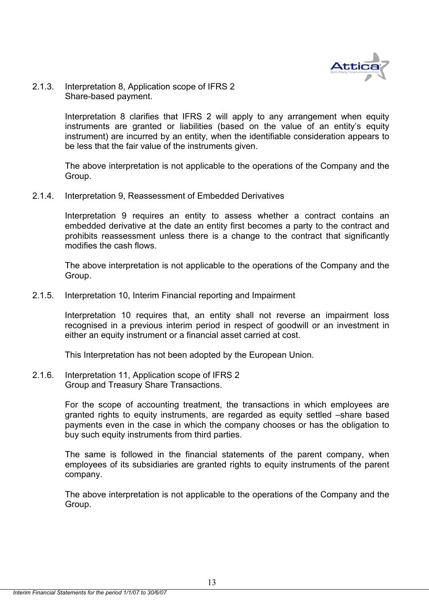

#### 2.1.3. Interpretation 8, Application scope of IFRS 2 Share-based payment.

Interpretation 8 clarifies that IFRS 2 will apply to any arrangement when equity instruments are granted or liabilities (based on the value of an entity's equity instrument) are incurred by an entity, when the identifiable consideration appears to be less that the fair value of the instruments given.

 The above interpretation is not applicable to the operations of the Company and the Group.

2.1.4. Interpretation 9, Reassessment of Embedded Derivatives

Interpretation 9 requires an entity to assess whether a contract contains an embedded derivative at the date an entity first becomes a party to the contract and prohibits reassessment unless there is a change to the contract that significantly modifies the cash flows.

The above interpretation is not applicable to the operations of the Company and the Group.

2.1.5. Interpretation 10, Interim Financial reporting and Impairment

Interpretation 10 requires that, an entity shall not reverse an impairment loss recognised in a previous interim period in respect of goodwill or an investment in either an equity instrument or a financial asset carried at cost.

This Interpretation has not been adopted by the European Union.

2.1.6. Interpretation 11, Application scope of IFRS 2 Group and Treasury Share Transactions.

> For the scope of accounting treatment, the transactions in which employees are granted rights to equity instruments, are regarded as equity settled –share based payments even in the case in which the company chooses or has the obligation to buy such equity instruments from third parties.

> The same is followed in the financial statements of the parent company, when employees of its subsidiaries are granted rights to equity instruments of the parent company.

> The above interpretation is not applicable to the operations of the Company and the Group.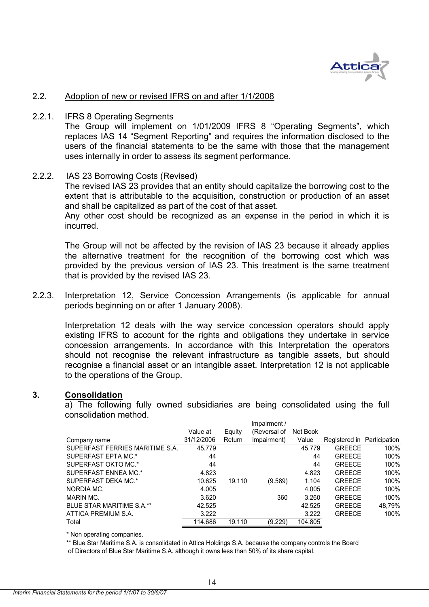

#### 2.2. Adoption of new or revised IFRS on and after 1/1/2008

#### 2.2.1. IFRS 8 Operating Segments

The Group will implement on 1/01/2009 IFRS 8 "Operating Segments", which replaces IAS 14 "Segment Reporting" and requires the information disclosed to the users of the financial statements to be the same with those that the management uses internally in order to assess its segment performance.

#### 2.2.2. IAS 23 Borrowing Costs (Revised)

The revised IAS 23 provides that an entity should capitalize the borrowing cost to the extent that is attributable to the acquisition, construction or production of an asset and shall be capitalized as part of the cost of that asset.

Any other cost should be recognized as an expense in the period in which it is incurred.

The Group will not be affected by the revision of IAS 23 because it already applies the alternative treatment for the recognition of the borrowing cost which was provided by the previous version of IAS 23. This treatment is the same treatment that is provided by the revised IAS 23.

2.2.3. Interpretation 12, Service Concession Arrangements (is applicable for annual periods beginning on or after 1 January 2008).

Interpretation 12 deals with the way service concession operators should apply existing IFRS to account for the rights and obligations they undertake in service concession arrangements. In accordance with this Interpretation the operators should not recognise the relevant infrastructure as tangible assets, but should recognise a financial asset or an intangible asset. Interpretation 12 is not applicable to the operations of the Group.

#### **3. Consolidation**

a) The following fully owned subsidiaries are being consolidated using the full consolidation method. Impairment /

|                                 | Value at   | Equity | (Reversal of | Net Book |                             |        |
|---------------------------------|------------|--------|--------------|----------|-----------------------------|--------|
| Company name                    | 31/12/2006 | Return | Impairment)  | Value    | Registered in Participation |        |
| SUPERFAST FERRIES MARITIME S.A. | 45.779     |        |              | 45.779   | <b>GREECE</b>               | 100%   |
| SUPERFAST EPTA MC.*             | 44         |        |              | 44       | <b>GREECE</b>               | 100%   |
| SUPERFAST OKTO MC.*             | 44         |        |              | 44       | <b>GRFFCF</b>               | 100%   |
| SUPERFAST ENNEA MC.*            | 4.823      |        |              | 4.823    | <b>GREECE</b>               | 100%   |
| SUPERFAST DEKA MC.*             | 10.625     | 19.110 | (9.589)      | 1.104    | <b>GREECE</b>               | 100%   |
| NORDIA MC.                      | 4.005      |        |              | 4.005    | <b>GREECE</b>               | 100%   |
| MARIN MC.                       | 3.620      |        | 360          | 3.260    | <b>GREECE</b>               | 100%   |
| BLUE STAR MARITIME S.A.**       | 42.525     |        |              | 42.525   | <b>GREECE</b>               | 48.79% |
| ATTICA PREMIUM S.A.             | 3.222      |        |              | 3.222    | <b>GREECE</b>               | 100%   |
| Total                           | 114.686    | 19.110 | (9.229)      | 104.805  |                             |        |
|                                 |            |        |              |          |                             |        |

\* Non operating companies.

\*\* Blue Star Maritime S.A. is consolidated in Attica Holdings S.A. because the company controls the Board of Directors of Blue Star Maritime S.A. although it owns less than 50% of its share capital.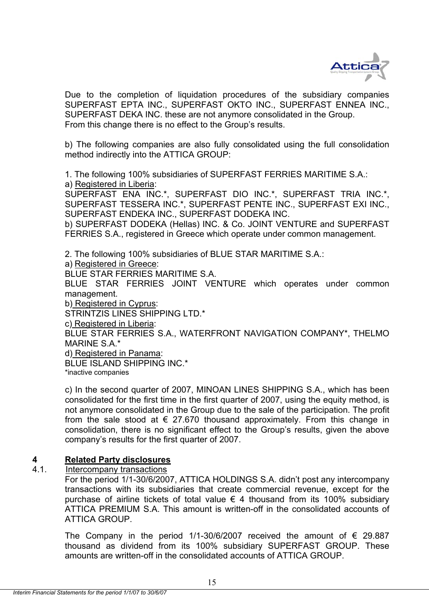

Due to the completion of liquidation procedures of the subsidiary companies SUPERFAST EPTA INC., SUPERFAST OKTO INC., SUPERFAST ENNEA INC., SUPERFAST DEKA INC. these are not anymore consolidated in the Group. From this change there is no effect to the Group's results.

b) The following companies are also fully consolidated using the full consolidation method indirectly into the ATTICA GROUP:

1. The following 100% subsidiaries of SUPERFAST FERRIES MARITIME S.A.:

a) Registered in Liberia:

SUPERFAST ENA INC.\*, SUPERFAST DIO INC.\*, SUPERFAST TRIA INC.\*, SUPERFAST TESSERA INC.\*, SUPERFAST PENTE INC., SUPERFAST EXI INC., SUPERFAST ENDEKA INC., SUPERFAST DODEKA INC.

b) SUPERFAST DODEKA (Hellas) INC. & Co. JOINT VENTURE and SUPERFAST FERRIES S.A., registered in Greece which operate under common management.

2. The following 100% subsidiaries of BLUE STAR MARITIME S.A.:

a) Registered in Greece:

BLUE STAR FERRIES MARITIME S.A.

BLUE STAR FERRIES JOINT VENTURE which operates under common management.

b) Registered in Cyprus:

STRINTZIS LINES SHIPPING LTD.\*

c) Registered in Liberia:

BLUE STAR FERRIES S.A., WATERFRONT NAVIGATION COMPANY\*, THELMO MARINE S.A.\*

d) Registered in Panama:

BLUE ISLAND SHIPPING INC.\*

\*inactive companies

c) In the second quarter of 2007, MINOAN LINES SHIPPING S.A., which has been consolidated for the first time in the first quarter of 2007, using the equity method, is not anymore consolidated in the Group due to the sale of the participation. The profit from the sale stood at  $\epsilon$  27.670 thousand approximately. From this change in consolidation, there is no significant effect to the Group's results, given the above company's results for the first quarter of 2007.

## **4 Related Party disclosures**

4.1. Intercompany transactions

For the period 1/1-30/6/2007, ATTICA HOLDINGS S.A. didn't post any intercompany transactions with its subsidiaries that create commercial revenue, except for the purchase of airline tickets of total value  $\epsilon$  4 thousand from its 100% subsidiary ATTICA PREMIUM S.A. This amount is written-off in the consolidated accounts of ATTICA GROUP.

The Company in the period 1/1-30/6/2007 received the amount of  $\epsilon$  29.887 thousand as dividend from its 100% subsidiary SUPERFAST GROUP. These amounts are written-off in the consolidated accounts of ATTICA GROUP.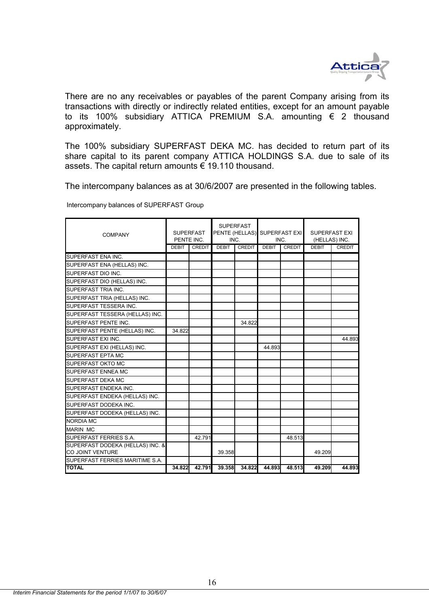

There are no any receivables or payables of the parent Company arising from its transactions with directly or indirectly related entities, except for an amount payable to its 100% subsidiary ATTICA PREMIUM S.A. amounting € 2 thousand approximately.

The 100% subsidiary SUPERFAST DEKA MC. has decided to return part of its share capital to its parent company ATTICA HOLDINGS S.A. due to sale of its assets. The capital return amounts € 19.110 thousand.

The intercompany balances as at 30/6/2007 are presented in the following tables.

Intercompany balances of SUPERFAST Group

| <b>COMPANY</b>                   | <b>SUPERFAST</b><br><b>SUPERFAST</b><br>PENTE INC.<br>INC. |               |              | PENTE (HELLAS) SUPERFAST EXI<br>INC. |              | <b>SUPERFAST EXI</b><br>(HELLAS) INC. |              |               |
|----------------------------------|------------------------------------------------------------|---------------|--------------|--------------------------------------|--------------|---------------------------------------|--------------|---------------|
|                                  | <b>DEBIT</b>                                               | <b>CREDIT</b> | <b>DEBIT</b> | <b>CREDIT</b>                        | <b>DEBIT</b> | <b>CREDIT</b>                         | <b>DEBIT</b> | <b>CREDIT</b> |
| SUPERFAST ENA INC.               |                                                            |               |              |                                      |              |                                       |              |               |
| SUPERFAST ENA (HELLAS) INC.      |                                                            |               |              |                                      |              |                                       |              |               |
| SUPERFAST DIO INC.               |                                                            |               |              |                                      |              |                                       |              |               |
| SUPERFAST DIO (HELLAS) INC.      |                                                            |               |              |                                      |              |                                       |              |               |
| SUPERFAST TRIA INC.              |                                                            |               |              |                                      |              |                                       |              |               |
| SUPERFAST TRIA (HELLAS) INC.     |                                                            |               |              |                                      |              |                                       |              |               |
| SUPERFAST TESSERA INC.           |                                                            |               |              |                                      |              |                                       |              |               |
| SUPERFAST TESSERA (HELLAS) INC.  |                                                            |               |              |                                      |              |                                       |              |               |
| SUPERFAST PENTE INC.             |                                                            |               |              | 34.822                               |              |                                       |              |               |
| SUPERFAST PENTE (HELLAS) INC.    | 34.822                                                     |               |              |                                      |              |                                       |              |               |
| SUPERFAST EXI INC.               |                                                            |               |              |                                      |              |                                       |              | 44.893        |
| SUPERFAST EXI (HELLAS) INC.      |                                                            |               |              |                                      | 44.893       |                                       |              |               |
| SUPERFAST EPTA MC                |                                                            |               |              |                                      |              |                                       |              |               |
| <b>SUPERFAST OKTO MC</b>         |                                                            |               |              |                                      |              |                                       |              |               |
| <b>SUPERFAST ENNEA MC</b>        |                                                            |               |              |                                      |              |                                       |              |               |
| SUPERFAST DEKA MC                |                                                            |               |              |                                      |              |                                       |              |               |
| SUPERFAST ENDEKA INC.            |                                                            |               |              |                                      |              |                                       |              |               |
| SUPERFAST ENDEKA (HELLAS) INC.   |                                                            |               |              |                                      |              |                                       |              |               |
| SUPERFAST DODEKA INC.            |                                                            |               |              |                                      |              |                                       |              |               |
| SUPERFAST DODEKA (HELLAS) INC.   |                                                            |               |              |                                      |              |                                       |              |               |
| <b>NORDIA MC</b>                 |                                                            |               |              |                                      |              |                                       |              |               |
| <b>MARIN MC</b>                  |                                                            |               |              |                                      |              |                                       |              |               |
| SUPERFAST FERRIES S.A.           |                                                            | 42.791        |              |                                      |              | 48.513                                |              |               |
| SUPERFAST DODEKA (HELLAS) INC. & |                                                            |               |              |                                      |              |                                       |              |               |
| CO JOINT VENTURE                 |                                                            |               | 39.358       |                                      |              |                                       | 49.209       |               |
| SUPERFAST FERRIES MARITIME S.A.  |                                                            |               |              |                                      |              |                                       |              |               |
| <b>TOTAL</b>                     | 34.822                                                     | 42.791        | 39.358       | 34.822                               | 44.893       | 48.513                                | 49.209       | 44.893        |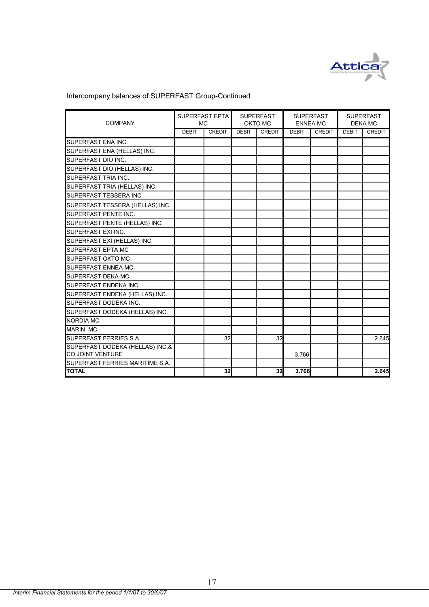

# Intercompany balances of SUPERFAST Group-Continued

| <b>COMPANY</b>                  | <b>SUPERFAST EPTA</b><br><b>MC</b> |               |              | <b>SUPERFAST</b><br>OKTO MC |              | <b>SUPERFAST</b><br><b>ENNEA MC</b> |              | <b>SUPERFAST</b><br><b>DEKA MC</b> |  |
|---------------------------------|------------------------------------|---------------|--------------|-----------------------------|--------------|-------------------------------------|--------------|------------------------------------|--|
|                                 | <b>DEBIT</b>                       | <b>CREDIT</b> | <b>DEBIT</b> | <b>CREDIT</b>               | <b>DEBIT</b> | <b>CREDIT</b>                       | <b>DEBIT</b> | <b>CREDIT</b>                      |  |
| <b>SUPERFAST ENA INC.</b>       |                                    |               |              |                             |              |                                     |              |                                    |  |
| SUPERFAST ENA (HELLAS) INC.     |                                    |               |              |                             |              |                                     |              |                                    |  |
| SUPERFAST DIO INC.              |                                    |               |              |                             |              |                                     |              |                                    |  |
| SUPERFAST DIO (HELLAS) INC.     |                                    |               |              |                             |              |                                     |              |                                    |  |
| SUPERFAST TRIA INC.             |                                    |               |              |                             |              |                                     |              |                                    |  |
| SUPERFAST TRIA (HELLAS) INC.    |                                    |               |              |                             |              |                                     |              |                                    |  |
| SUPERFAST TESSERA INC.          |                                    |               |              |                             |              |                                     |              |                                    |  |
| SUPERFAST TESSERA (HELLAS) INC. |                                    |               |              |                             |              |                                     |              |                                    |  |
| SUPERFAST PENTE INC.            |                                    |               |              |                             |              |                                     |              |                                    |  |
| SUPERFAST PENTE (HELLAS) INC.   |                                    |               |              |                             |              |                                     |              |                                    |  |
| SUPERFAST EXI INC.              |                                    |               |              |                             |              |                                     |              |                                    |  |
| SUPERFAST EXI (HELLAS) INC.     |                                    |               |              |                             |              |                                     |              |                                    |  |
| SUPERFAST EPTA MC               |                                    |               |              |                             |              |                                     |              |                                    |  |
| <b>SUPERFAST OKTO MC</b>        |                                    |               |              |                             |              |                                     |              |                                    |  |
| SUPERFAST ENNEA MC              |                                    |               |              |                             |              |                                     |              |                                    |  |
| SUPERFAST DEKA MC               |                                    |               |              |                             |              |                                     |              |                                    |  |
| SUPERFAST ENDEKA INC.           |                                    |               |              |                             |              |                                     |              |                                    |  |
| SUPERFAST ENDEKA (HELLAS) INC.  |                                    |               |              |                             |              |                                     |              |                                    |  |
| SUPERFAST DODEKA INC.           |                                    |               |              |                             |              |                                     |              |                                    |  |
| SUPERFAST DODEKA (HELLAS) INC.  |                                    |               |              |                             |              |                                     |              |                                    |  |
| <b>NORDIA MC</b>                |                                    |               |              |                             |              |                                     |              |                                    |  |
| <b>MARIN MC</b>                 |                                    |               |              |                             |              |                                     |              |                                    |  |
| SUPERFAST FERRIES S.A.          |                                    | 32            |              | 32                          |              |                                     |              | 2.645                              |  |
| SUPERFAST DODEKA (HELLAS) INC.& |                                    |               |              |                             |              |                                     |              |                                    |  |
| CO JOINT VENTURE                |                                    |               |              |                             | 3.766        |                                     |              |                                    |  |
| SUPERFAST FERRIES MARITIME S.A. |                                    |               |              |                             |              |                                     |              |                                    |  |
| <b>TOTAL</b>                    |                                    | 32            |              | 32                          | 3.766        |                                     |              | 2.645                              |  |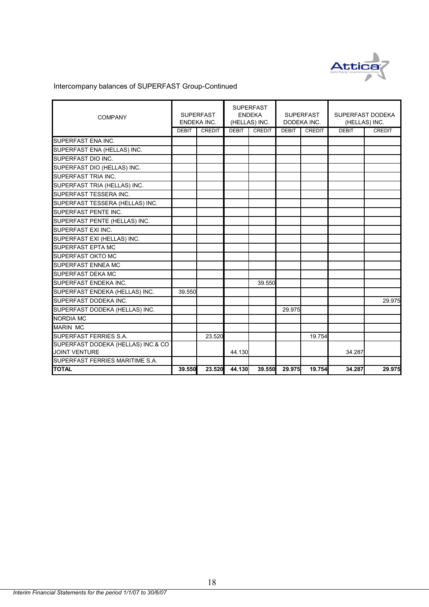

# Intercompany balances of SUPERFAST Group-Continued

| <b>COMPANY</b>                                             | <b>SUPERFAST</b><br>ENDEKA INC. |               | <b>SUPERFAST</b><br><b>ENDEKA</b><br>(HELLAS) INC. |               | <b>SUPERFAST</b><br>DODEKA INC. |               | SUPERFAST DODEKA<br>(HELLAS) INC. |               |
|------------------------------------------------------------|---------------------------------|---------------|----------------------------------------------------|---------------|---------------------------------|---------------|-----------------------------------|---------------|
|                                                            | <b>DEBIT</b>                    | <b>CREDIT</b> | <b>DEBIT</b>                                       | <b>CREDIT</b> | <b>DEBIT</b>                    | <b>CREDIT</b> | <b>DEBIT</b>                      | <b>CREDIT</b> |
| SUPERFAST ENA INC.                                         |                                 |               |                                                    |               |                                 |               |                                   |               |
| SUPERFAST ENA (HELLAS) INC.                                |                                 |               |                                                    |               |                                 |               |                                   |               |
| SUPERFAST DIO INC.                                         |                                 |               |                                                    |               |                                 |               |                                   |               |
| SUPERFAST DIO (HELLAS) INC.                                |                                 |               |                                                    |               |                                 |               |                                   |               |
| SUPERFAST TRIA INC.                                        |                                 |               |                                                    |               |                                 |               |                                   |               |
| SUPERFAST TRIA (HELLAS) INC.                               |                                 |               |                                                    |               |                                 |               |                                   |               |
| SUPERFAST TESSERA INC.                                     |                                 |               |                                                    |               |                                 |               |                                   |               |
| SUPERFAST TESSERA (HELLAS) INC.                            |                                 |               |                                                    |               |                                 |               |                                   |               |
| <b>SUPERFAST PENTE INC.</b>                                |                                 |               |                                                    |               |                                 |               |                                   |               |
| SUPERFAST PENTE (HELLAS) INC.                              |                                 |               |                                                    |               |                                 |               |                                   |               |
| SUPERFAST EXI INC.                                         |                                 |               |                                                    |               |                                 |               |                                   |               |
| SUPERFAST EXI (HELLAS) INC.                                |                                 |               |                                                    |               |                                 |               |                                   |               |
| SUPERFAST EPTA MC                                          |                                 |               |                                                    |               |                                 |               |                                   |               |
| <b>SUPERFAST OKTO MC</b>                                   |                                 |               |                                                    |               |                                 |               |                                   |               |
| SUPERFAST ENNEA MC                                         |                                 |               |                                                    |               |                                 |               |                                   |               |
| <b>SUPERFAST DEKA MC</b>                                   |                                 |               |                                                    |               |                                 |               |                                   |               |
| SUPERFAST ENDEKA INC.                                      |                                 |               |                                                    | 39.550        |                                 |               |                                   |               |
| SUPERFAST ENDEKA (HELLAS) INC.                             | 39.550                          |               |                                                    |               |                                 |               |                                   |               |
| SUPERFAST DODEKA INC.                                      |                                 |               |                                                    |               |                                 |               |                                   | 29.975        |
| SUPERFAST DODEKA (HELLAS) INC.                             |                                 |               |                                                    |               | 29.975                          |               |                                   |               |
| NORDIA MC                                                  |                                 |               |                                                    |               |                                 |               |                                   |               |
| <b>MARIN MC</b>                                            |                                 |               |                                                    |               |                                 |               |                                   |               |
| SUPERFAST FERRIES S.A.                                     |                                 | 23.520        |                                                    |               |                                 | 19.754        |                                   |               |
| SUPERFAST DODEKA (HELLAS) INC.& CO<br><b>JOINT VENTURE</b> |                                 |               | 44.130                                             |               |                                 |               | 34.287                            |               |
| SUPERFAST FERRIES MARITIME S.A.                            |                                 |               |                                                    |               |                                 |               |                                   |               |
| <b>TOTAL</b>                                               | 39.550                          | 23.520        | 44.130                                             | 39.550        | 29.975                          | 19.754        | 34.287                            | 29.975        |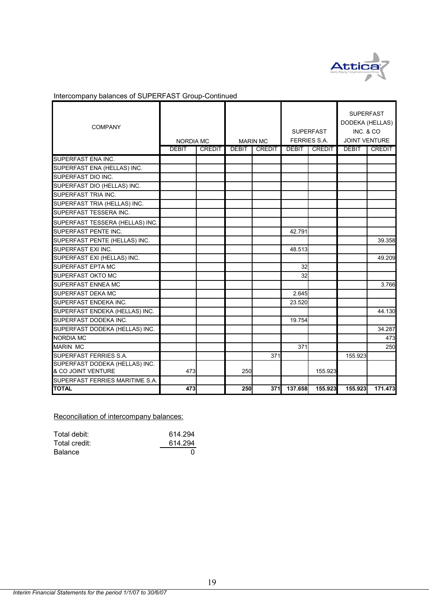

| Intercompany balances of SUPERFAST Group-Continued |
|----------------------------------------------------|
|----------------------------------------------------|

| <b>COMPANY</b>                  | <b>NORDIA MC</b> |               |              | <b>MARIN MC</b> |              | <b>SUPERFAST</b><br><b>FERRIES S.A.</b> | <b>SUPERFAST</b><br>DODEKA (HELLAS)<br>INC. & CO.<br><b>JOINT VENTURE</b> |               |
|---------------------------------|------------------|---------------|--------------|-----------------|--------------|-----------------------------------------|---------------------------------------------------------------------------|---------------|
|                                 | <b>DEBIT</b>     | <b>CREDIT</b> | <b>DEBIT</b> | <b>CREDIT</b>   | <b>DEBIT</b> | <b>CREDIT</b>                           | <b>DEBIT</b>                                                              | <b>CREDIT</b> |
| SUPERFAST ENA INC.              |                  |               |              |                 |              |                                         |                                                                           |               |
| SUPERFAST ENA (HELLAS) INC.     |                  |               |              |                 |              |                                         |                                                                           |               |
| SUPERFAST DIO INC.              |                  |               |              |                 |              |                                         |                                                                           |               |
| SUPERFAST DIO (HELLAS) INC.     |                  |               |              |                 |              |                                         |                                                                           |               |
| SUPERFAST TRIA INC.             |                  |               |              |                 |              |                                         |                                                                           |               |
| SUPERFAST TRIA (HELLAS) INC.    |                  |               |              |                 |              |                                         |                                                                           |               |
| SUPERFAST TESSERA INC.          |                  |               |              |                 |              |                                         |                                                                           |               |
| SUPERFAST TESSERA (HELLAS) INC. |                  |               |              |                 |              |                                         |                                                                           |               |
| SUPERFAST PENTE INC.            |                  |               |              |                 | 42.791       |                                         |                                                                           |               |
| SUPERFAST PENTE (HELLAS) INC.   |                  |               |              |                 |              |                                         |                                                                           | 39.358        |
| SUPERFAST EXI INC.              |                  |               |              |                 | 48.513       |                                         |                                                                           |               |
| SUPERFAST EXI (HELLAS) INC.     |                  |               |              |                 |              |                                         |                                                                           | 49.209        |
| SUPERFAST EPTA MC               |                  |               |              |                 | 32           |                                         |                                                                           |               |
| SUPERFAST OKTO MC               |                  |               |              |                 | 32           |                                         |                                                                           |               |
| SUPERFAST ENNEA MC              |                  |               |              |                 |              |                                         |                                                                           | 3.766         |
| <b>SUPERFAST DEKA MC</b>        |                  |               |              |                 | 2.645        |                                         |                                                                           |               |
| SUPERFAST ENDEKA INC.           |                  |               |              |                 | 23.520       |                                         |                                                                           |               |
| SUPERFAST ENDEKA (HELLAS) INC.  |                  |               |              |                 |              |                                         |                                                                           | 44.130        |
| SUPERFAST DODEKA INC.           |                  |               |              |                 | 19.754       |                                         |                                                                           |               |
| SUPERFAST DODEKA (HELLAS) INC.  |                  |               |              |                 |              |                                         |                                                                           | 34.287        |
| <b>NORDIA MC</b>                |                  |               |              |                 |              |                                         |                                                                           | 473           |
| <b>MARIN MC</b>                 |                  |               |              |                 | 371          |                                         |                                                                           | 250           |
| SUPERFAST FERRIES S.A.          |                  |               |              | 371             |              |                                         | 155.923                                                                   |               |
| SUPERFAST DODEKA (HELLAS) INC.  |                  |               |              |                 |              |                                         |                                                                           |               |
| & CO JOINT VENTURE              | 473              |               | 250          |                 |              | 155.923                                 |                                                                           |               |
| SUPERFAST FERRIES MARITIME S.A. |                  |               |              |                 |              |                                         |                                                                           |               |
| <b>TOTAL</b>                    | 473              |               | 250          | 371             | 137.658      | 155.923                                 | 155.923                                                                   | 171.473       |

Reconciliation of intercompany balances:

| Total debit:   | 614.294 |
|----------------|---------|
| Total credit:  | 614.294 |
| <b>Balance</b> |         |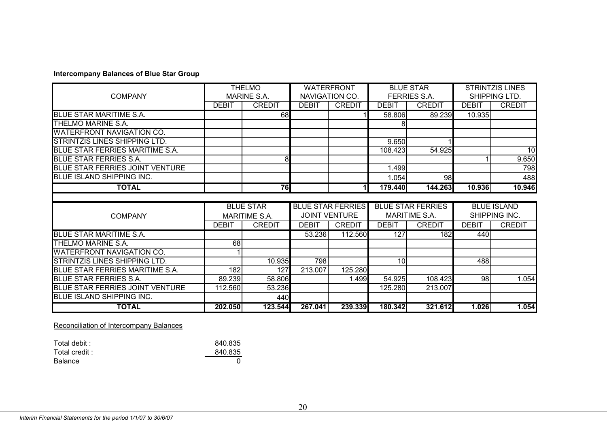#### **Intercompany Balances of Blue Star Group**

|                                        |              | <b>THELMO</b>        |                      | <b>WATERFRONT</b>        |              | <b>BLUE STAR</b>         |              | <b>STRINTZIS LINES</b> |  |
|----------------------------------------|--------------|----------------------|----------------------|--------------------------|--------------|--------------------------|--------------|------------------------|--|
| <b>COMPANY</b>                         |              | MARINE S.A.          |                      | NAVIGATION CO.           |              | FERRIES S.A.             |              | SHIPPING LTD.          |  |
|                                        | <b>DEBIT</b> | <b>CREDIT</b>        | <b>DEBIT</b>         | <b>CREDIT</b>            | <b>DEBIT</b> | <b>CREDIT</b>            | <b>DEBIT</b> | <b>CREDIT</b>          |  |
| <b>BLUE STAR MARITIME S.A.</b>         |              | 68                   |                      |                          | 58.806       | 89.239                   | 10.935       |                        |  |
| THELMO MARINE S.A.                     |              |                      |                      |                          |              |                          |              |                        |  |
| <b>WATERFRONT NAVIGATION CO.</b>       |              |                      |                      |                          |              |                          |              |                        |  |
| <b>STRINTZIS LINES SHIPPING LTD.</b>   |              |                      |                      |                          | 9.650        |                          |              |                        |  |
| BLUE STAR FERRIES MARITIME S.A.        |              |                      |                      |                          | 108.423      | 54.925                   |              | 10                     |  |
| <b>BLUE STAR FERRIES S.A.</b>          |              | 8                    |                      |                          |              |                          |              | 9.650                  |  |
| <b>BLUE STAR FERRIES JOINT VENTURE</b> |              |                      |                      |                          | 1.499        |                          |              | 798                    |  |
| <b>BLUE ISLAND SHIPPING INC.</b>       |              |                      |                      |                          | 1.054        | 98                       |              | 488                    |  |
| <b>TOTAL</b>                           |              | 76                   |                      | 11                       | 179.440      | 144.263                  | 10.936       | 10.946                 |  |
|                                        |              |                      |                      |                          |              |                          |              |                        |  |
|                                        |              | <b>BLUE STAR</b>     |                      | <b>BLUE STAR FERRIES</b> |              | <b>BLUE STAR FERRIES</b> |              | <b>BLUE ISLAND</b>     |  |
| <b>COMPANY</b>                         |              | <b>MARITIME S.A.</b> | <b>JOINT VENTURE</b> |                          |              | <b>MARITIME S.A.</b>     |              | SHIPPING INC.          |  |
|                                        | <b>DEBIT</b> | <b>CREDIT</b>        | <b>DEBIT</b>         | <b>CREDIT</b>            | <b>DEBIT</b> | <b>CREDIT</b>            | <b>DEBIT</b> | <b>CREDIT</b>          |  |
| <b>BLUE STAR MARITIME S.A.</b>         |              |                      | 53.236               | 112.560                  | 127          | 182                      | 440          |                        |  |
| THELMO MARINE S.A.                     | 68           |                      |                      |                          |              |                          |              |                        |  |
| <b>WATERFRONT NAVIGATION CO.</b>       |              |                      |                      |                          |              |                          |              |                        |  |
| STRINTZIS LINES SHIPPING LTD.          |              | 10.935               | 798                  |                          | 10           |                          | 488          |                        |  |
| BLUE STAR FERRIES MARITIME S.A.        | 182          | 127                  | 213.007              | 125.280                  |              |                          |              |                        |  |
| <b>BLUE STAR FERRIES S.A.</b>          | 89.239       | 58.806               |                      | 1.499                    | 54.925       | 108.423                  | 98           | 1.054                  |  |
| <b>BLUE STAR FERRIES JOINT VENTURE</b> | 112.560      | 53.236               |                      |                          | 125.280      | 213.007                  |              |                        |  |
|                                        |              |                      |                      |                          |              |                          |              |                        |  |
| <b>BLUE ISLAND SHIPPING INC.</b>       |              | 440                  |                      |                          |              |                          |              |                        |  |

Reconciliation of Intercompany Balances

| Total debit :  | 840.835 |
|----------------|---------|
| Total credit : | 840.835 |
| Balance        |         |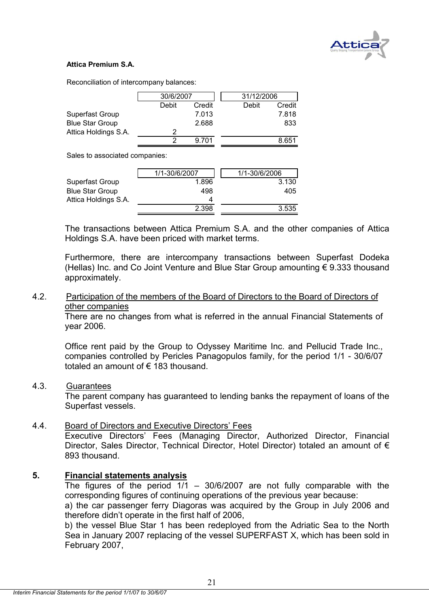

#### **Attica Premium S.A.**

Reconciliation of intercompany balances:

|                        | 30/6/2007 |        | 31/12/2006 |        |
|------------------------|-----------|--------|------------|--------|
|                        | Debit     | Credit | Debit      | Credit |
| Superfast Group        |           | 7.013  |            | 7.818  |
| <b>Blue Star Group</b> |           | 2.688  |            | 833    |
| Attica Holdings S.A.   |           |        |            |        |
|                        |           | 9.701  |            | 8.651  |

Sales to associated companies:

|                        | 1/1-30/6/2007 | 1/1-30/6/2006 |
|------------------------|---------------|---------------|
| Superfast Group        | 1.896         | 3.130         |
| <b>Blue Star Group</b> | 498           | 405           |
| Attica Holdings S.A.   | 4             |               |
|                        | 2.398         | 3.535         |

The transactions between Attica Premium S.A. and the other companies of Attica Holdings S.A. have been priced with market terms.

Furthermore, there are intercompany transactions between Superfast Dodeka (Hellas) Inc. and Co Joint Venture and Blue Star Group amounting € 9.333 thousand approximately.

#### 4.2. Participation of the members of the Board of Directors to the Board of Directors of other companies

There are no changes from what is referred in the annual Financial Statements of year 2006.

Office rent paid by the Group to Odyssey Maritime Inc. and Pellucid Trade Inc., companies controlled by Pericles Panagopulos family, for the period 1/1 - 30/6/07 totaled an amount of € 183 thousand.

#### 4.3. Guarantees

 The parent company has guaranteed to lending banks the repayment of loans of the Superfast vessels.

#### 4.4. Board of Directors and Executive Directors' Fees

Executive Directors' Fees (Managing Director, Authorized Director, Financial Director, Sales Director, Technical Director, Hotel Director) totaled an amount of € 893 thousand.

#### **5. Financial statements analysis**

The figures of the period  $1/1$  – 30/6/2007 are not fully comparable with the corresponding figures of continuing operations of the previous year because:

a) the car passenger ferry Diagoras was acquired by the Group in July 2006 and therefore didn't operate in the first half of 2006,

b) the vessel Blue Star 1 has been redeployed from the Adriatic Sea to the North Sea in January 2007 replacing of the vessel SUPERFAST X, which has been sold in February 2007,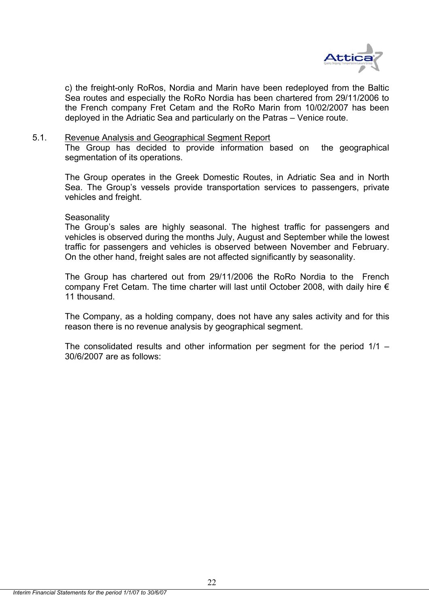

c) the freight-only RoRos, Nordia and Marin have been redeployed from the Baltic Sea routes and especially the RoRo Nordia has been chartered from 29/11/2006 to the French company Fret Cetam and the RoRo Marin from 10/02/2007 has been deployed in the Adriatic Sea and particularly on the Patras – Venice route.

#### 5.1. Revenue Analysis and Geographical Segment Report

The Group has decided to provide information based on the geographical segmentation of its operations.

The Group operates in the Greek Domestic Routes, in Adriatic Sea and in North Sea. The Group's vessels provide transportation services to passengers, private vehicles and freight.

#### **Seasonality**

The Group's sales are highly seasonal. The highest traffic for passengers and vehicles is observed during the months July, August and September while the lowest traffic for passengers and vehicles is observed between November and February. On the other hand, freight sales are not affected significantly by seasonality.

Τhe Group has chartered out from 29/11/2006 the RoRo Nordia to the French company Fret Cetam. The time charter will last until October 2008, with daily hire  $\epsilon$ 11 thousand.

The Company, as a holding company, does not have any sales activity and for this reason there is no revenue analysis by geographical segment.

The consolidated results and other information per segment for the period 1/1 – 30/6/2007 are as follows: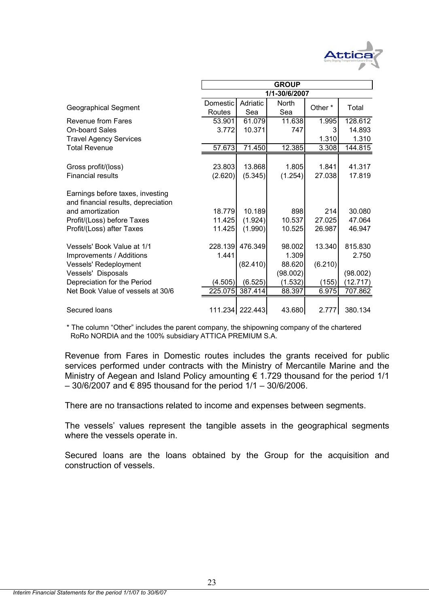

|                                     | <b>GROUP</b> |                 |          |         |          |  |  |
|-------------------------------------|--------------|-----------------|----------|---------|----------|--|--|
|                                     |              |                 |          |         |          |  |  |
|                                     | Domestic     | Adriatic        | North    | Other*  | Total    |  |  |
| <b>Geographical Segment</b>         | Routes       | Sea             | Sea      |         |          |  |  |
| Revenue from Fares                  | 53.901       | 61.079          | 11.638   | 1.995   | 128.612  |  |  |
| <b>On-board Sales</b>               | 3.772        | 10.371          | 747      |         | 14.893   |  |  |
| <b>Travel Agency Services</b>       |              |                 |          | 1.310   | 1.310    |  |  |
| <b>Total Revenue</b>                | 57.673       | 71.450          | 12.385   | 3.308   | 144.815  |  |  |
|                                     |              |                 |          |         |          |  |  |
| Gross profit/(loss)                 | 23.803       | 13.868          | 1.805    | 1.841   | 41.317   |  |  |
| <b>Financial results</b>            | (2.620)      | (5.345)         | (1.254)  | 27.038  | 17.819   |  |  |
| Earnings before taxes, investing    |              |                 |          |         |          |  |  |
| and financial results, depreciation |              |                 |          |         |          |  |  |
| and amortization                    | 18.779       | 10.189          | 898      | 214     | 30.080   |  |  |
| Profit/(Loss) before Taxes          | 11.425       | (1.924)         | 10.537   | 27.025  | 47.064   |  |  |
| Profit/(Loss) after Taxes           | 11.425       | (1.990)         | 10.525   | 26.987  | 46.947   |  |  |
| Vessels' Book Value at 1/1          | 228.139      | 476.349         | 98.002   | 13.340  | 815.830  |  |  |
| Improvements / Additions            | 1.441        |                 | 1.309    |         | 2.750    |  |  |
| Vessels' Redeployment               |              | (82.410)        | 88.620   | (6.210) |          |  |  |
| Vessels' Disposals                  |              |                 | (98.002) |         | (98.002) |  |  |
| Depreciation for the Period         | (4.505)      | (6.525)         | (1.532)  | (155)   | (12.717) |  |  |
| Net Book Value of vessels at 30/6   | 225.075      | 387.414         | 88.397   | 6.975   | 707.862  |  |  |
|                                     |              |                 |          |         |          |  |  |
| Secured Ioans                       |              | 111.234 222.443 | 43.680   | 2.777   | 380.134  |  |  |

\* The column "Other" includes the parent company, the shipowning company of the chartered RoRo NORDIA and the 100% subsidiary ATTICA PREMIUM S.A.

Revenue from Fares in Domestic routes includes the grants received for public services performed under contracts with the Ministry of Mercantile Marine and the Ministry of Aegean and Island Policy amounting  $\epsilon$  1.729 thousand for the period 1/1 – 30/6/2007 and € 895 thousand for the period 1/1 – 30/6/2006.

There are no transactions related to income and expenses between segments.

The vessels' values represent the tangible assets in the geographical segments where the vessels operate in.

Secured loans are the loans obtained by the Group for the acquisition and construction of vessels.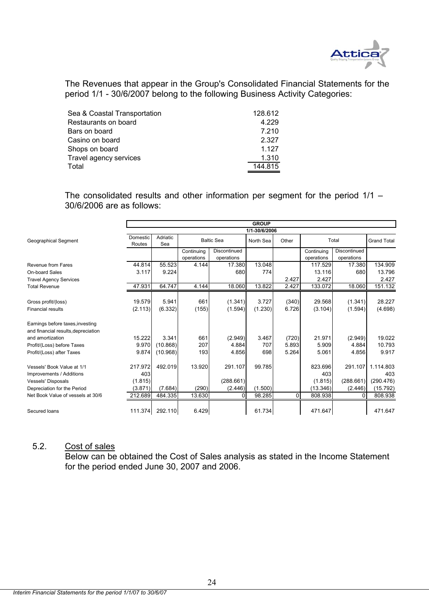

The Revenues that appear in the Group's Consolidated Financial Statements for the period 1/1 - 30/6/2007 belong to the following Business Activity Categories:

| Sea & Coastal Transportation | 128.612 |
|------------------------------|---------|
| Restaurants on board         | 4.229   |
| Bars on board                | 7.210   |
| Casino on board              | 2.327   |
| Shops on board               | 1.127   |
| Travel agency services       | 1.310   |
| Total                        | 144.815 |

The consolidated results and other information per segment for the period 1/1 – 30/6/2006 are as follows:

|                                     | <b>GROUP</b>       |                 |            |                   |           |       |            |              |                    |
|-------------------------------------|--------------------|-----------------|------------|-------------------|-----------|-------|------------|--------------|--------------------|
|                                     | 1/1-30/6/2006      |                 |            |                   |           |       |            |              |                    |
| Geographical Segment                | Domestic<br>Routes | Adriatic<br>Sea |            | <b>Baltic Sea</b> | North Sea | Other |            | Total        | <b>Grand Total</b> |
|                                     |                    |                 | Continuing | Discontinued      |           |       | Continuing | Discontinued |                    |
|                                     |                    |                 | operations | operations        |           |       | operations | operations   |                    |
| Revenue from Fares                  | 44.814             | 55.523          | 4.144      | 17.380            | 13.048    |       | 117.529    | 17.380       | 134.909            |
| On-board Sales                      | 3.117              | 9.224           |            | 680               | 774       |       | 13.116     | 680          | 13.796             |
| <b>Travel Agency Services</b>       |                    |                 |            |                   |           | 2.427 | 2.427      |              | 2.427              |
| <b>Total Revenue</b>                | 47.931             | 64.747          | 4.144      | 18.060            | 13.822    | 2.427 | 133.072    | 18.060       | 151.132            |
|                                     |                    |                 |            |                   |           |       |            |              |                    |
| Gross profit/(loss)                 | 19.579             | 5.941           | 661        | (1.341)           | 3.727     | (340) | 29.568     | (1.341)      | 28.227             |
| <b>Financial results</b>            | (2.113)            | (6.332)         | (155)      | (1.594)           | (1.230)   | 6.726 | (3.104)    | (1.594)      | (4.698)            |
| Earnings before taxes, investing    |                    |                 |            |                   |           |       |            |              |                    |
| and financial results, depreciation |                    |                 |            |                   |           |       |            |              |                    |
| and amortization                    | 15.222             | 3.341           | 661        | (2.949)           | 3.467     | (720) | 21.971     | (2.949)      | 19.022             |
| Profit/(Loss) before Taxes          | 9.970              | (10.868)        | 207        | 4.884             | 707       | 5.893 | 5.909      | 4.884        | 10.793             |
| Profit/(Loss) after Taxes           | 9.874              | (10.968)        | 193        | 4.856             | 698       | 5.264 | 5.061      | 4.856        | 9.917              |
| Vessels' Book Value at 1/1          | 217.972            | 492.019         | 13.920     | 291.107           | 99.785    |       | 823.696    | 291.107      | 1.114.803          |
| Improvements / Additions            | 403                |                 |            |                   |           |       | 403        |              | 403                |
| <b>Vessels' Disposals</b>           | (1.815)            |                 |            | (288.661)         |           |       | (1.815)    | (288.661)    | (290.476)          |
| Depreciation for the Period         | (3.871)            | (7.684)         | (290)      | (2.446)           | (1.500)   |       | (13.346)   | (2.446)      | (15.792)           |
| Net Book Value of vessels at 30/6   | 212.689            | 484.335         | 13.630     | <sup>0</sup>      | 98.285    | 0     | 808.938    | $\Omega$     | 808.938            |
|                                     |                    |                 |            |                   |           |       |            |              |                    |
| Secured Ioans                       | 111.374            | 292.110         | 6.429      |                   | 61.734    |       | 471.647    |              | 471.647            |

#### 5.2. Cost of sales

Below can be obtained the Cost of Sales analysis as stated in the Income Statement for the period ended June 30, 2007 and 2006.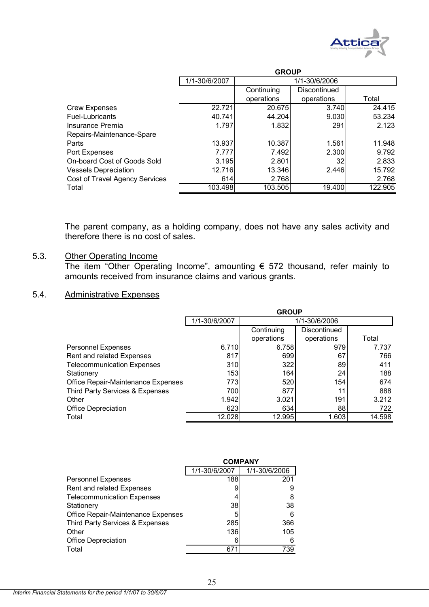

|                                       | <b>GROUP</b>  |            |                 |         |  |  |
|---------------------------------------|---------------|------------|-----------------|---------|--|--|
|                                       | 1/1-30/6/2007 |            | 1/1-30/6/2006   |         |  |  |
|                                       |               | Continuing | Discontinued    |         |  |  |
|                                       |               | operations | operations      | Total   |  |  |
| <b>Crew Expenses</b>                  | 22.721        | 20.675     | 3.740           | 24.415  |  |  |
| <b>Fuel-Lubricants</b>                | 40.741        | 44.204     | 9.030           | 53.234  |  |  |
| Insurance Premia                      | 1.797         | 1.832      | 291             | 2.123   |  |  |
| Repairs-Maintenance-Spare             |               |            |                 |         |  |  |
| Parts                                 | 13.937        | 10.387     | 1.561           | 11.948  |  |  |
| Port Expenses                         | 7.777         | 7.492      | 2.300           | 9.792   |  |  |
| On-board Cost of Goods Sold           | 3.195         | 2.801      | 32 <sub>2</sub> | 2.833   |  |  |
| <b>Vessels Depreciation</b>           | 12.716        | 13.346     | 2.446           | 15.792  |  |  |
| <b>Cost of Travel Agency Services</b> | 614           | 2.768      |                 | 2.768   |  |  |
| Total                                 | 103.498       | 103.505    | 19.400          | 122.905 |  |  |

The parent company, as a holding company, does not have any sales activity and therefore there is no cost of sales.

#### 5.3. Other Operating Income

The item "Other Operating Income", amounting € 572 thousand, refer mainly to amounts received from insurance claims and various grants.

# 5.4. Administrative Expenses

|                                    | <b>GROUP</b>  |            |               |        |  |  |
|------------------------------------|---------------|------------|---------------|--------|--|--|
|                                    | 1/1-30/6/2007 |            | 1/1-30/6/2006 |        |  |  |
|                                    |               | Continuing | Discontinued  |        |  |  |
|                                    |               | operations | operations    | Total  |  |  |
| <b>Personnel Expenses</b>          | 6.710         | 6.758      | 979           | 7.737  |  |  |
| Rent and related Expenses          | 817           | 699        | 67            | 766    |  |  |
| <b>Telecommunication Expenses</b>  | 310           | 322        | 89            | 411    |  |  |
| Stationery                         | 153           | 164        | 24            | 188    |  |  |
| Office Repair-Maintenance Expenses | 773           | 520        | 154           | 674    |  |  |
| Third Party Services & Expenses    | 700           | 877        | 11            | 888    |  |  |
| Other                              | 1.942         | 3.021      | 191           | 3.212  |  |  |
| <b>Office Depreciation</b>         | 623           | 634        | 88            | 722    |  |  |
| Total                              | 12.028        | 12.995     | 1.603         | 14.598 |  |  |

|                                    | <b>COMPANY</b> |               |  |
|------------------------------------|----------------|---------------|--|
|                                    | 1/1-30/6/2007  | 1/1-30/6/2006 |  |
| <b>Personnel Expenses</b>          | 188            | 201           |  |
| Rent and related Expenses          |                | 9             |  |
| <b>Telecommunication Expenses</b>  |                | 8             |  |
| Stationery                         | 38             | 38            |  |
| Office Repair-Maintenance Expenses | 5              | 6             |  |
| Third Party Services & Expenses    | 285            | 366           |  |
| Other                              | 136            | 105           |  |
| <b>Office Depreciation</b>         |                | 6             |  |
| Total                              | 67             | 739           |  |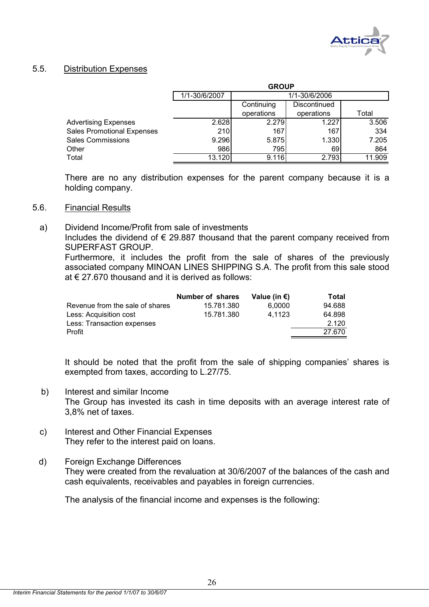

#### 5.5. Distribution Expenses

|                                   | <b>GROUP</b>  |                            |               |        |  |  |
|-----------------------------------|---------------|----------------------------|---------------|--------|--|--|
|                                   | 1/1-30/6/2007 |                            | 1/1-30/6/2006 |        |  |  |
|                                   |               | Discontinued<br>Continuing |               |        |  |  |
|                                   |               | operations                 | operations    | Total  |  |  |
| <b>Advertising Expenses</b>       | 2.628         | 2.279                      | 1.227         | 3.506  |  |  |
| <b>Sales Promotional Expenses</b> | 210           | 167                        | 167           | 334    |  |  |
| <b>Sales Commissions</b>          | 9.296         | 5.875                      | 1.330         | 7.205  |  |  |
| Other                             | 986           | 795                        | 691           | 864    |  |  |
| Total                             | 13.120        | 9.116                      | 2.793         | 11.909 |  |  |

There are no any distribution expenses for the parent company because it is a holding company.

#### 5.6. Financial Results

a) Dividend Income/Profit from sale of investments

Includes the dividend of  $\epsilon$  29.887 thousand that the parent company received from SUPERFAST GROUP.

Furthermore, it includes the profit from the sale of shares of the previously associated company MINOAN LINES SHIPPING S.A. The profit from this sale stood at € 27.670 thousand and it is derived as follows:

|                                 | <b>Number of shares</b> | Value (in $\epsilon$ ) | Total  |
|---------------------------------|-------------------------|------------------------|--------|
| Revenue from the sale of shares | 15.781.380              | 6.0000                 | 94.688 |
| Less: Acquisition cost          | 15.781.380              | 4.1123                 | 64.898 |
| Less: Transaction expenses      |                         |                        | 2.120  |
| Profit                          |                         |                        | 27.670 |

It should be noted that the profit from the sale of shipping companies' shares is exempted from taxes, according to L.27/75.

- b) Interest and similar Income The Group has invested its cash in time deposits with an average interest rate of 3,8% net of taxes.
- c) Interest and Other Financial Expenses They refer to the interest paid on loans.
- d) Foreign Exchange Differences They were created from the revaluation at 30/6/2007 of the balances of the cash and cash equivalents, receivables and payables in foreign currencies.

The analysis of the financial income and expenses is the following: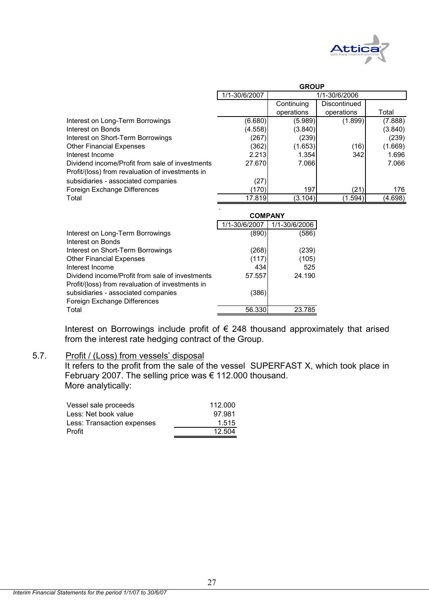

|                                                  | <b>GROUP</b>                   |            |              |         |
|--------------------------------------------------|--------------------------------|------------|--------------|---------|
|                                                  | 1/1-30/6/2007<br>1/1-30/6/2006 |            |              |         |
|                                                  |                                | Continuing | Discontinued |         |
|                                                  |                                | operations | operations   | Total   |
| Interest on Long-Term Borrowings                 | (6.680)                        | (5.989)    | (1.899)      | (7.888) |
| Interest on Bonds                                | (4.558)                        | (3.840)    |              | (3.840) |
| Interest on Short-Term Borrowings                | (267)                          | (239)      |              | (239)   |
| <b>Other Financial Expenses</b>                  | (362)                          | (1.653)    | (16)         | (1.669) |
| Interest Income                                  | 2.213                          | 1.354      | 342          | 1.696   |
| Dividend income/Profit from sale of investments  | 27.670                         | 7.066      |              | 7.066   |
| Profit/(loss) from revaluation of investments in |                                |            |              |         |
| subsidiaries - associated companies              | (27)                           |            |              |         |
| Foreign Exchange Differences                     | (170)                          | 197        | (21)         | 176     |
| Total                                            | 17.819                         | (3.104)    | (1.594)      | (4.698) |
|                                                  |                                |            |              |         |

|                                                  | <b>COMPANY</b> |               |  |
|--------------------------------------------------|----------------|---------------|--|
|                                                  | 1/1-30/6/2007  | 1/1-30/6/2006 |  |
| Interest on Long-Term Borrowings                 | (890)          | (586)         |  |
| Interest on Bonds                                |                |               |  |
| Interest on Short-Term Borrowings                | (268)          | (239)         |  |
| <b>Other Financial Expenses</b>                  | (117)          | (105)         |  |
| Interest Income                                  | 434            | 525           |  |
| Dividend income/Profit from sale of investments  | 57.557         | 24.190        |  |
| Profit/(loss) from revaluation of investments in |                |               |  |
| subsidiaries - associated companies              | (386)          |               |  |
| Foreign Exchange Differences                     |                |               |  |
| Total                                            | 56.330         | 23.785        |  |
|                                                  |                |               |  |

Interest on Borrowings include profit of € 248 thousand approximately that arised from the interest rate hedging contract of the Group.

#### 5.7. Profit / (Loss) from vessels' disposal

It refers to the profit from the sale of the vessel SUPERFAST X, which took place in February 2007. The selling price was € 112.000 thousand. More analytically:

| Vessel sale proceeds       | 112.000 |
|----------------------------|---------|
| Less: Net book value       | 97.981  |
| Less: Transaction expenses | 1.515   |
| Profit                     | 12.504  |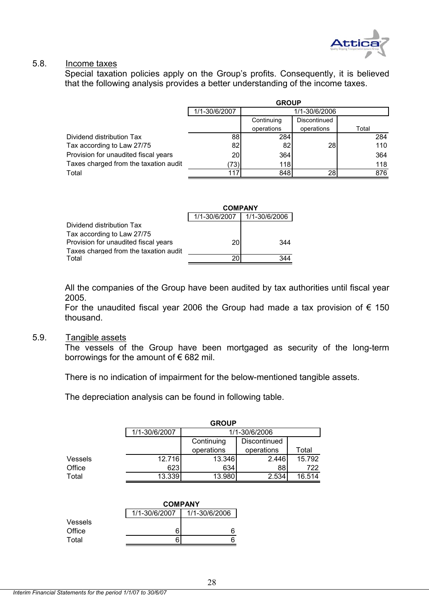

#### 5.8. Income taxes

Special taxation policies apply on the Group's profits. Consequently, it is believed that the following analysis provides a better understanding of the income taxes.

|                                       | <b>GROUP</b>    |               |              |       |  |
|---------------------------------------|-----------------|---------------|--------------|-------|--|
|                                       | 1/1-30/6/2007   | 1/1-30/6/2006 |              |       |  |
|                                       |                 | Continuing    | Discontinued |       |  |
|                                       |                 | operations    | operations   | Total |  |
| Dividend distribution Tax             | 88              | 284           |              | 284   |  |
| Tax according to Law 27/75            | 82              | 82            | 28           | 110   |  |
| Provision for unaudited fiscal years  | 20 <sup>1</sup> | 364           |              | 364   |  |
| Taxes charged from the taxation audit | 73)l            | 118           |              | 118   |  |
| Total                                 | 117             | 848           | 28           | 876   |  |

|                                       | <b>COMPANY</b> |               |  |
|---------------------------------------|----------------|---------------|--|
|                                       | 1/1-30/6/2007  | 1/1-30/6/2006 |  |
| Dividend distribution Tax             |                |               |  |
| Tax according to Law 27/75            |                |               |  |
| Provision for unaudited fiscal years  | 20             | 344           |  |
| Taxes charged from the taxation audit |                |               |  |
| Total                                 |                |               |  |

All the companies of the Group have been audited by tax authorities until fiscal year 2005.

For the unaudited fiscal year 2006 the Group had made a tax provision of  $\epsilon$  150 thousand.

#### 5.9. Tangible assets

The vessels of the Group have been mortgaged as security of the long-term borrowings for the amount of  $\epsilon$  682 mil.

There is no indication of impairment for the below-mentioned tangible assets.

The depreciation analysis can be found in following table.

|         | <b>GROUP</b>                   |            |                     |        |  |  |  |
|---------|--------------------------------|------------|---------------------|--------|--|--|--|
|         | 1/1-30/6/2007<br>1/1-30/6/2006 |            |                     |        |  |  |  |
|         |                                | Continuing | <b>Discontinued</b> |        |  |  |  |
|         |                                | operations | operations          | Total  |  |  |  |
| Vessels | 12.716                         | 13.346     | 2.446               | 15.792 |  |  |  |
| Office  | 623                            | 634        | 88                  | 722    |  |  |  |
| Total   | 13.339                         | 13.980     | 2.534               | 16.514 |  |  |  |

|         |               | <b>COMPANY</b> |
|---------|---------------|----------------|
|         | 1/1-30/6/2007 | 1/1-30/6/2006  |
| Vessels |               |                |
| Office  | 6             | 6              |
| Total   |               |                |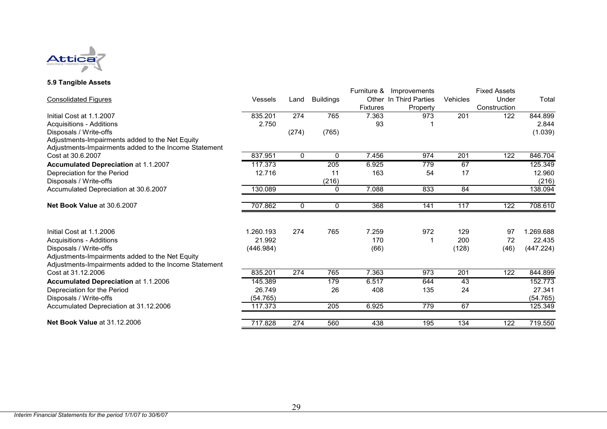

#### **5.9 Tangible Assets**

|                                                       |                |       |                  | Furniture &     | Improvements           |                 | <b>Fixed Assets</b> |           |
|-------------------------------------------------------|----------------|-------|------------------|-----------------|------------------------|-----------------|---------------------|-----------|
| <b>Consolidated Figures</b>                           | <b>Vessels</b> | Land  | <b>Buildings</b> |                 | Other In Third Parties | <b>Vehicles</b> | Under               | Total     |
|                                                       |                |       |                  | <b>Fixtures</b> | Property               |                 | Construction        |           |
| Initial Cost at 1.1.2007                              | 835.201        | 274   | 765              | 7.363           | 973                    | 201             | 122                 | 844.899   |
| <b>Acquisitions - Additions</b>                       | 2.750          |       |                  | 93              |                        |                 |                     | 2.844     |
| Disposals / Write-offs                                |                | (274) | (765)            |                 |                        |                 |                     | (1.039)   |
| Adjustments-Impairments added to the Net Equity       |                |       |                  |                 |                        |                 |                     |           |
| Adjustments-Impairments added to the Income Statement |                |       |                  |                 |                        |                 |                     |           |
| Cost at 30.6.2007                                     | 837.951        | 0     | 0                | 7.456           | 974                    | 201             | 122                 | 846.704   |
| Accumulated Depreciation at 1.1.2007                  | 117.373        |       | 205              | 6.925           | 779                    | 67              |                     | 125.349   |
| Depreciation for the Period                           | 12.716         |       | 11               | 163             | 54                     | 17              |                     | 12.960    |
| Disposals / Write-offs                                |                |       | (216)            |                 |                        |                 |                     | (216)     |
| Accumulated Depreciation at 30.6.2007                 | 130.089        |       | 0                | 7.088           | 833                    | 84              |                     | 138.094   |
| Net Book Value at 30.6.2007                           | 707.862        | 0     | 0                | 368             | 141                    | 117             | 122                 | 708.610   |
|                                                       |                |       |                  |                 |                        |                 |                     |           |
| Initial Cost at 1.1.2006                              | 1.260.193      | 274   | 765              | 7.259           | 972                    | 129             | 97                  | 1.269.688 |
| Acquisitions - Additions                              | 21.992         |       |                  | 170             |                        | 200             | 72                  | 22.435    |
| Disposals / Write-offs                                | (446.984)      |       |                  | (66)            |                        | (128)           | (46)                | (447.224) |
| Adjustments-Impairments added to the Net Equity       |                |       |                  |                 |                        |                 |                     |           |
| Adjustments-Impairments added to the Income Statement |                |       |                  |                 |                        |                 |                     |           |
| Cost at 31.12.2006                                    | 835.201        | 274   | 765              | 7.363           | 973                    | 201             | 122                 | 844.899   |
| Accumulated Depreciation at 1.1.2006                  | 145.389        |       | 179              | 6.517           | 644                    | 43              |                     | 152.773   |
| Depreciation for the Period                           | 26.749         |       | 26               | 408             | 135                    | 24              |                     | 27.341    |
| Disposals / Write-offs                                | (54.765)       |       |                  |                 |                        |                 |                     | (54.765)  |
| Accumulated Depreciation at 31.12.2006                | 117.373        |       | 205              | 6.925           | 779                    | 67              |                     | 125.349   |
| <b>Net Book Value at 31.12.2006</b>                   | 717.828        | 274   | 560              | 438             | 195                    | 134             | 122                 | 719.550   |
|                                                       |                |       |                  |                 |                        |                 |                     |           |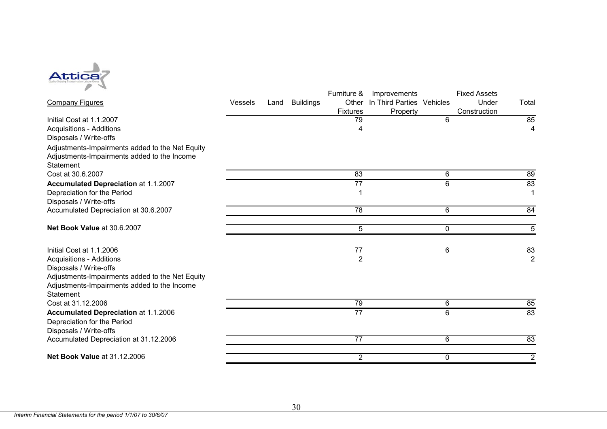

|                                                 |                |      |                  | Furniture &     | Improvements              |              | <b>Fixed Assets</b> |                |
|-------------------------------------------------|----------------|------|------------------|-----------------|---------------------------|--------------|---------------------|----------------|
| <b>Company Figures</b>                          | <b>Vessels</b> | Land | <b>Buildings</b> | Other           | In Third Parties Vehicles |              | Under               | Total          |
|                                                 |                |      |                  | <b>Fixtures</b> | Property                  |              | Construction        |                |
| Initial Cost at 1.1.2007                        |                |      |                  | 79              |                           | 6            |                     | 85             |
| <b>Acquisitions - Additions</b>                 |                |      |                  | 4               |                           |              |                     | 4              |
| Disposals / Write-offs                          |                |      |                  |                 |                           |              |                     |                |
| Adjustments-Impairments added to the Net Equity |                |      |                  |                 |                           |              |                     |                |
| Adjustments-Impairments added to the Income     |                |      |                  |                 |                           |              |                     |                |
| <b>Statement</b>                                |                |      |                  |                 |                           |              |                     |                |
| Cost at 30.6.2007                               |                |      |                  | 83              |                           | 6            |                     | 89             |
| <b>Accumulated Depreciation at 1.1.2007</b>     |                |      |                  | $\overline{77}$ |                           | 6            |                     | 83             |
| Depreciation for the Period                     |                |      |                  |                 |                           |              |                     |                |
| Disposals / Write-offs                          |                |      |                  |                 |                           |              |                     |                |
| Accumulated Depreciation at 30.6.2007           |                |      |                  | $\overline{78}$ |                           | 6            |                     | 84             |
| Net Book Value at 30.6.2007                     |                |      |                  | 5               |                           | 0            |                     | 5              |
|                                                 |                |      |                  |                 |                           |              |                     |                |
| Initial Cost at 1.1.2006                        |                |      |                  | 77              |                           | 6            |                     | 83             |
| <b>Acquisitions - Additions</b>                 |                |      |                  | $\overline{2}$  |                           |              |                     | $\overline{2}$ |
| Disposals / Write-offs                          |                |      |                  |                 |                           |              |                     |                |
| Adjustments-Impairments added to the Net Equity |                |      |                  |                 |                           |              |                     |                |
| Adjustments-Impairments added to the Income     |                |      |                  |                 |                           |              |                     |                |
| <b>Statement</b>                                |                |      |                  |                 |                           |              |                     |                |
| Cost at 31.12.2006                              |                |      |                  | 79              |                           | 6            |                     | 85             |
| <b>Accumulated Depreciation at 1.1.2006</b>     |                |      |                  | $\overline{77}$ |                           | 6            |                     | 83             |
| Depreciation for the Period                     |                |      |                  |                 |                           |              |                     |                |
| Disposals / Write-offs                          |                |      |                  |                 |                           |              |                     |                |
| Accumulated Depreciation at 31.12.2006          |                |      |                  | 77              |                           | 6            |                     | 83             |
| <b>Net Book Value at 31.12.2006</b>             |                |      |                  | $\overline{2}$  |                           | $\mathbf{0}$ |                     | $\overline{2}$ |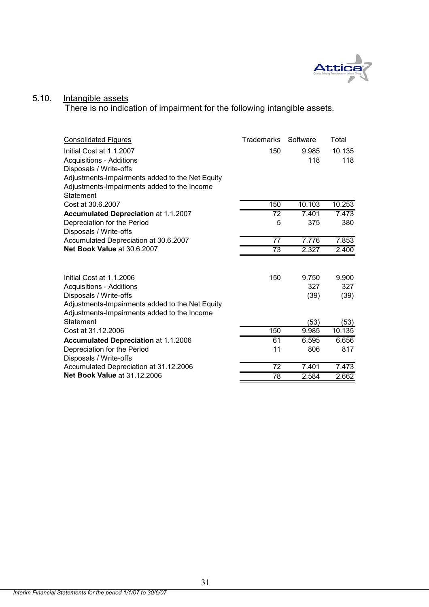

#### 5.10. Intangible assets

There is no indication of impairment for the following intangible assets.

| Consolidated Figures                            | <b>Trademarks</b> | Software | Total              |
|-------------------------------------------------|-------------------|----------|--------------------|
| Initial Cost at 1.1.2007                        | 150               | 9.985    | 10.135             |
| <b>Acquisitions - Additions</b>                 |                   | 118      | 118                |
| Disposals / Write-offs                          |                   |          |                    |
| Adjustments-Impairments added to the Net Equity |                   |          |                    |
| Adjustments-Impairments added to the Income     |                   |          |                    |
| Statement                                       |                   |          |                    |
| Cost at 30.6.2007                               | 150               | 10.103   | 10.253             |
| <b>Accumulated Depreciation at 1.1.2007</b>     | 72                | 7.401    | 7.473              |
| Depreciation for the Period                     | 5                 | 375      | 380                |
| Disposals / Write-offs                          |                   |          |                    |
| Accumulated Depreciation at 30.6.2007           | 77                | 7.776    | $\overline{7}.853$ |
| Net Book Value at 30.6.2007                     | $\overline{73}$   | 2.327    | 2.400              |
|                                                 |                   |          |                    |
| Initial Cost at 1.1.2006                        | 150               | 9.750    | 9.900              |
| <b>Acquisitions - Additions</b>                 |                   | 327      | 327                |
| Disposals / Write-offs                          |                   | (39)     | (39)               |
| Adjustments-Impairments added to the Net Equity |                   |          |                    |
| Adjustments-Impairments added to the Income     |                   |          |                    |
| Statement                                       |                   | (53)     | (53)               |
| Cost at 31.12.2006                              | 150               | 9.985    | 10.135             |
| <b>Accumulated Depreciation at 1.1.2006</b>     | 61                | 6.595    | 6.656              |
| Depreciation for the Period                     | 11                | 806      | 817                |
| Disposals / Write-offs                          |                   |          |                    |
| Accumulated Depreciation at 31.12.2006          | 72                | 7.401    | 7.473              |
| <b>Net Book Value at 31.12.2006</b>             | 78                | 2.584    | 2.662              |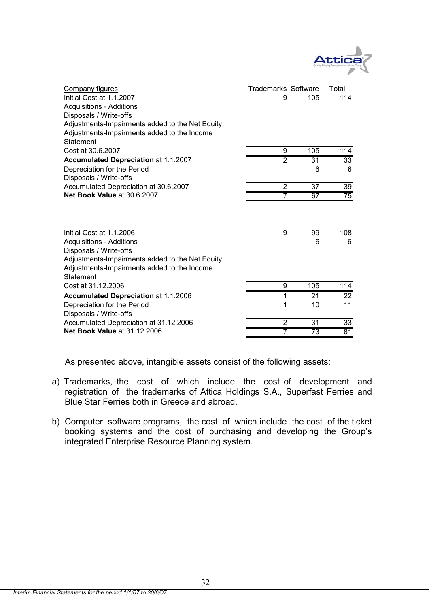

| Company figures<br>Initial Cost at 1.1.2007<br>Acquisitions - Additions<br>Disposals / Write-offs<br>Adjustments-Impairments added to the Net Equity<br>Adjustments-Impairments added to the Income<br>Statement | Trademarks Software<br>9 | 105             | Total<br>114         |
|------------------------------------------------------------------------------------------------------------------------------------------------------------------------------------------------------------------|--------------------------|-----------------|----------------------|
| Cost at 30.6.2007                                                                                                                                                                                                | 9                        | 105             | 114                  |
| <b>Accumulated Depreciation at 1.1.2007</b><br>Depreciation for the Period                                                                                                                                       | $\overline{2}$           | 31<br>6         | $\overline{33}$<br>6 |
| Disposals / Write-offs                                                                                                                                                                                           |                          |                 |                      |
| Accumulated Depreciation at 30.6.2007                                                                                                                                                                            | $\overline{2}$           | 37              | 39                   |
| Net Book Value at 30.6.2007                                                                                                                                                                                      | 7                        | 67              | $\overline{75}$      |
| Initial Cost at 1.1.2006<br><b>Acquisitions - Additions</b><br>Disposals / Write-offs<br>Adjustments-Impairments added to the Net Equity<br>Adjustments-Impairments added to the Income<br>Statement             | 9                        | 99<br>6         | 108<br>6             |
| Cost at 31.12.2006                                                                                                                                                                                               | 9                        | 105             | 114                  |
| <b>Accumulated Depreciation at 1.1.2006</b>                                                                                                                                                                      | 1                        | 21              | 22                   |
| Depreciation for the Period<br>Disposals / Write-offs                                                                                                                                                            | 1                        | 10              | 11                   |
| Accumulated Depreciation at 31.12.2006                                                                                                                                                                           | $\overline{2}$           | 31              | 33                   |
| <b>Net Book Value at 31.12.2006</b>                                                                                                                                                                              | 7                        | $\overline{73}$ | 81                   |

As presented above, intangible assets consist of the following assets:

- a) Trademarks, the cost of which include the cost of development and registration of the trademarks of Attica Holdings S.A., Superfast Ferries and Blue Star Ferries both in Greece and abroad.
- b) Computer software programs, the cost of which include the cost of the ticket booking systems and the cost of purchasing and developing the Group's integrated Enterprise Resource Planning system.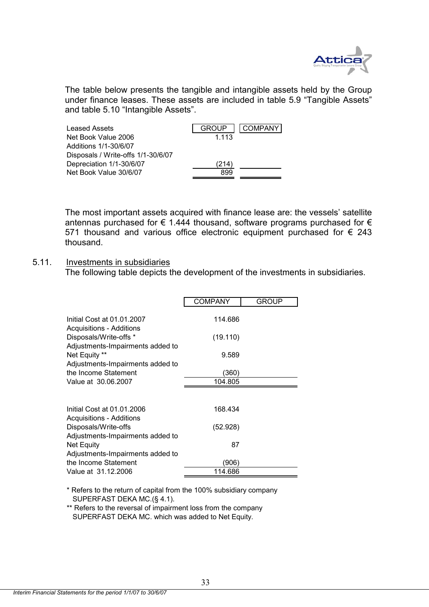

The table below presents the tangible and intangible assets held by the Group under finance leases. These assets are included in table 5.9 "Tangible Assets" and table 5.10 "Intangible Assets".

| Leased Assets                      | COMPANY<br><b>GROUP</b> |
|------------------------------------|-------------------------|
| Net Book Value 2006                | 1.113                   |
| Additions 1/1-30/6/07              |                         |
| Disposals / Write-offs 1/1-30/6/07 |                         |
| Depreciation 1/1-30/6/07           | (214)                   |
| Net Book Value 30/6/07             | 899                     |
|                                    |                         |

The most important assets acquired with finance lease are: the vessels' satellite antennas purchased for  $\epsilon$  1.444 thousand, software programs purchased for  $\epsilon$ 571 thousand and various office electronic equipment purchased for  $\epsilon$  243 thousand.

#### 5.11. Investments in subsidiaries

The following table depicts the development of the investments in subsidiaries.

|                                                            | <b>COMPANY</b> | <b>GROUP</b> |
|------------------------------------------------------------|----------------|--------------|
| Initial Cost at 01.01.2007<br>Acquisitions - Additions     | 114.686        |              |
| Disposals/Write-offs *<br>Adjustments-Impairments added to | (19.110)       |              |
| Net Equity **                                              | 9.589          |              |
| Adjustments-Impairments added to<br>the Income Statement   | (360)          |              |
| Value at 30.06.2007                                        | 104.805        |              |
|                                                            |                |              |
| Initial Cost at 01.01.2006<br>Acquisitions - Additions     | 168.434        |              |
| Disposals/Write-offs                                       | (52.928)       |              |
| Adjustments-Impairments added to<br>Net Equity             | 87             |              |
| Adjustments-Impairments added to                           |                |              |
| the Income Statement                                       | (906)          |              |
| Value at 31.12.2006                                        | 114.686        |              |

\* Refers to the return of capital from the 100% subsidiary company SUPERFAST DEKA MC.(§ 4.1).

\*\* Refers to the reversal of impairment loss from the company SUPERFAST DEKA MC. which was added to Net Equity.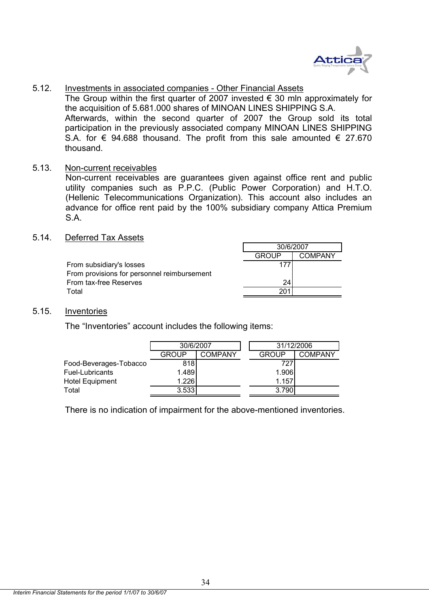

5.12. Investments in associated companies - Other Financial Assets

The Group within the first quarter of 2007 invested  $\epsilon$  30 mln approximately for the acquisition of 5.681.000 shares of MINOAN LINES SHIPPING S.A. Afterwards, within the second quarter of 2007 the Group sold its total participation in the previously associated company MINOAN LINES SHIPPING S.A. for  $\epsilon$  94.688 thousand. The profit from this sale amounted  $\epsilon$  27.670 thousand.

5.13. Non-current receivables

Non-current receivables are guarantees given against office rent and public utility companies such as P.P.C. (Public Power Corporation) and H.T.O. (Hellenic Telecommunications Organization). This account also includes an advance for office rent paid by the 100% subsidiary company Attica Premium S.A.

5.14. Deferred Tax Assets

|                                             | 30/6/2007       |         |  |
|---------------------------------------------|-----------------|---------|--|
|                                             | <b>GROUP</b>    | COMPANY |  |
| From subsidiary's losses                    |                 |         |  |
| From provisions for personnel reimbursement |                 |         |  |
| From tax-free Reserves                      | 24 <sub>l</sub> |         |  |
| Total                                       | 201             |         |  |

#### 5.15. Inventories

The "Inventories" account includes the following items:

|                        | 30/6/2007 |                | 31/12/2006   |                |
|------------------------|-----------|----------------|--------------|----------------|
|                        | GROUP     | <b>COMPANY</b> | <b>GROUP</b> | <b>COMPANY</b> |
| Food-Beverages-Tobacco | 818       |                | 727          |                |
| Fuel-Lubricants        | 1.489     |                | 1.906        |                |
| <b>Hotel Equipment</b> | 1.226     |                | 1.157        |                |
| Total                  | 3.533     |                | 3.790        |                |

There is no indication of impairment for the above-mentioned inventories.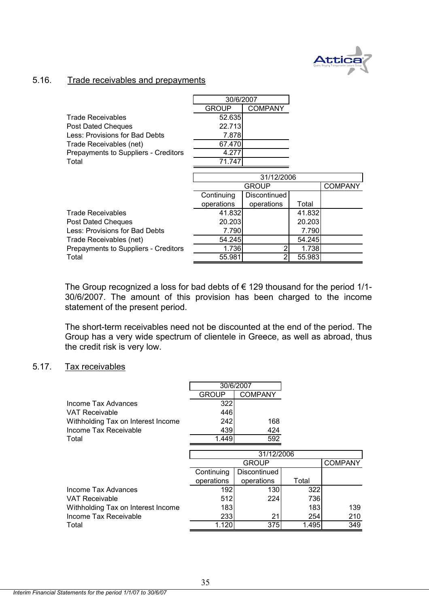

#### 5.16. Trade receivables and prepayments

|                                      | 30/6/2007  |                |        |                |
|--------------------------------------|------------|----------------|--------|----------------|
|                                      | GROUP      | <b>COMPANY</b> |        |                |
| <b>Trade Receivables</b>             | 52.635     |                |        |                |
| Post Dated Cheques                   | 22.713     |                |        |                |
| Less: Provisions for Bad Debts       | 7.878      |                |        |                |
| Trade Receivables (net)              | 67.470     |                |        |                |
| Prepayments to Suppliers - Creditors | 4.277      |                |        |                |
| Total                                | 71.747     |                |        |                |
|                                      |            |                |        |                |
|                                      |            | 31/12/2006     |        |                |
|                                      |            | <b>GROUP</b>   |        | <b>COMPANY</b> |
|                                      | Continuing | Discontinued   |        |                |
|                                      | operations | operations     | Total  |                |
| <b>Trade Receivables</b>             | 41.832     |                | 41.832 |                |
| <b>Post Dated Cheques</b>            | 20.203     |                | 20.203 |                |
| Less: Provisions for Bad Debts       | 7.790      |                | 7.790  |                |
| Trade Receivables (net)              | 54.245     |                | 54.245 |                |
| Prepayments to Suppliers - Creditors | 1.736      |                | 1.738  |                |
| Total                                | 55.981     |                | 55.983 |                |

The Group recognized a loss for bad debts of  $\epsilon$  129 thousand for the period 1/1-30/6/2007. The amount of this provision has been charged to the income statement of the present period.

The short-term receivables need not be discounted at the end of the period. The Group has a very wide spectrum of clientele in Greece, as well as abroad, thus the credit risk is very low.

#### 5.17. Tax receivables

|                                    |              | 30/6/2007      |       |                |
|------------------------------------|--------------|----------------|-------|----------------|
|                                    | <b>GROUP</b> | <b>COMPANY</b> |       |                |
| Income Tax Advances                | 322          |                |       |                |
| VAT Receivable                     | 446          |                |       |                |
| Withholding Tax on Interest Income | 242          | 168            |       |                |
| Income Tax Receivable              | 439          | 424            |       |                |
| Total                              | 1.449        | 592            |       |                |
|                                    |              |                |       |                |
|                                    |              | 31/12/2006     |       |                |
|                                    |              | <b>GROUP</b>   |       | <b>COMPANY</b> |
|                                    | Continuing   | Discontinued   |       |                |
|                                    | operations   | operations     | Total |                |
| Income Tax Advances                | 192          | 130            | 322   |                |
| VAT Receivable                     | 512          | 224            | 736   |                |
| Withholding Tax on Interest Income | 183          |                | 183   | 139            |
| Income Tax Receivable              | 233          | 21             | 254   | 210            |
| Total                              | 1.120        | 375            | 1.495 | 349            |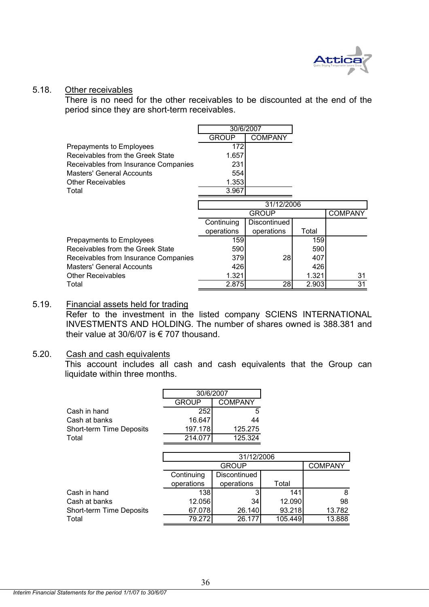

#### 5.18. Other receivables

There is no need for the other receivables to be discounted at the end of the period since they are short-term receivables.

|                                      | 30/6/2007    |                |       |                |
|--------------------------------------|--------------|----------------|-------|----------------|
|                                      | <b>GROUP</b> | <b>COMPANY</b> |       |                |
| Prepayments to Employees             | 172          |                |       |                |
| Receivables from the Greek State     | 1.657        |                |       |                |
| Receivables from Insurance Companies | 231          |                |       |                |
| Masters' General Accounts            | 554          |                |       |                |
| <b>Other Receivables</b>             | 1.353        |                |       |                |
| Total                                | 3.967        |                |       |                |
|                                      |              | 31/12/2006     |       |                |
|                                      |              | <b>GROUP</b>   |       | <b>COMPANY</b> |
|                                      | Continuing   | Discontinued   |       |                |
|                                      | operations   | operations     | Total |                |
| Prepayments to Employees             | 1591         |                | 159   |                |
| Receivables from the Greek State     | 590          |                | 590   |                |
| Receivables from Insurance Companies | 379          | 28             | 407   |                |
| Masters' General Accounts            | 426          |                | 426   |                |
| <b>Other Receivables</b>             | 1.321        |                | 1.321 | 31             |
| Total                                | 2.875        | 28             | 2.903 | 31             |

#### 5.19. Financial assets held for trading Refer to the investment in the listed company SCIENS INTERNATIONAL INVESTMENTS AND HOLDING. The number of shares owned is 388.381 and their value at 30/6/07 is € 707 thousand.

#### 5.20. Cash and cash equivalents

This account includes all cash and cash equivalents that the Group can liquidate within three months.

| 30/6/2007               |         |  |
|-------------------------|---------|--|
| COMPANY<br><b>GROUP</b> |         |  |
| 252                     | 5.      |  |
| 16.647                  | 44      |  |
| 197.178                 | 125.275 |  |
| 214 O                   | 125.324 |  |
|                         |         |  |

|                          | 31/12/2006 |                |         |        |  |
|--------------------------|------------|----------------|---------|--------|--|
|                          |            | <b>COMPANY</b> |         |        |  |
|                          | Continuing |                |         |        |  |
|                          | operations | operations     | Total   |        |  |
| Cash in hand             | 138        | 3              | 141     | 8      |  |
| Cash at banks            | 12.056     | 34             | 12.090  | 98     |  |
| Short-term Time Deposits | 67.078     | 26.140         | 93.218  | 13.782 |  |
| Total                    | 79.272     | 26.177         | 105.449 | 13.888 |  |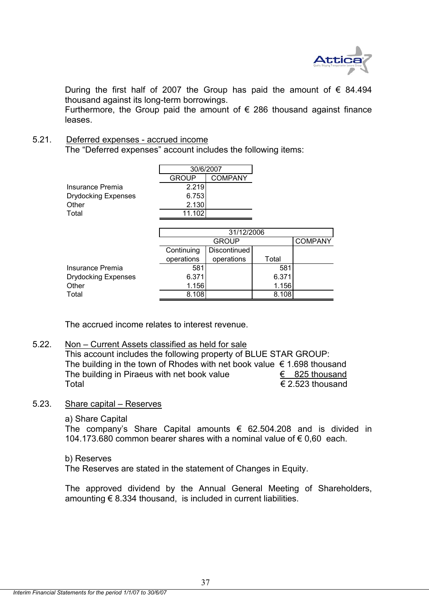

During the first half of 2007 the Group has paid the amount of  $\epsilon$  84.494 thousand against its long-term borrowings.

Furthermore, the Group paid the amount of  $\epsilon$  286 thousand against finance leases.

#### 5.21. Deferred expenses - accrued income

The "Deferred expenses" account includes the following items:

|                            |              | 30/6/2007      |  |                |
|----------------------------|--------------|----------------|--|----------------|
|                            | <b>GROUP</b> | <b>COMPANY</b> |  |                |
| Insurance Premia           | 2.219        |                |  |                |
| <b>Drydocking Expenses</b> | 6.753        |                |  |                |
| Other                      | 2.130        |                |  |                |
| Total                      | 11.102       |                |  |                |
|                            |              |                |  |                |
|                            |              | 31/12/2006     |  |                |
|                            |              | <b>GROUP</b>   |  | <b>COMPANY</b> |
|                            | Continuing   | Discontinued   |  |                |

|                     | <b>COLIGITUM</b> | <b>DISCOTIOLIQUE</b> |       |  |
|---------------------|------------------|----------------------|-------|--|
|                     | operations       | operations           | Total |  |
| Insurance Premia    | 581              |                      | 581   |  |
| Drydocking Expenses | 6.371            |                      | 6.371 |  |
| Other               | 1.156            |                      | 1.156 |  |
| Total               | 8.108            |                      | 8.108 |  |
|                     |                  |                      |       |  |

The accrued income relates to interest revenue.

#### 5.22. Non – Current Assets classified as held for sale

This account includes the following property of BLUE STAR GROUP: The building in the town of Rhodes with net book value  $\epsilon$  1.698 thousand The building in Piraeus with net book value  $\epsilon$  825 thousand Total  $\epsilon$  2.523 thousand

#### 5.23. Share capital – Reserves

a) Share Capital

The company's Share Capital amounts  $\epsilon$  62.504.208 and is divided in 104,173,680 common bearer shares with a nominal value of € 0,60 each.

#### b) Reserves

The Reserves are stated in the statement of Changes in Equity.

The approved dividend by the Annual General Meeting of Shareholders, amounting  $\epsilon$  8.334 thousand, is included in current liabilities.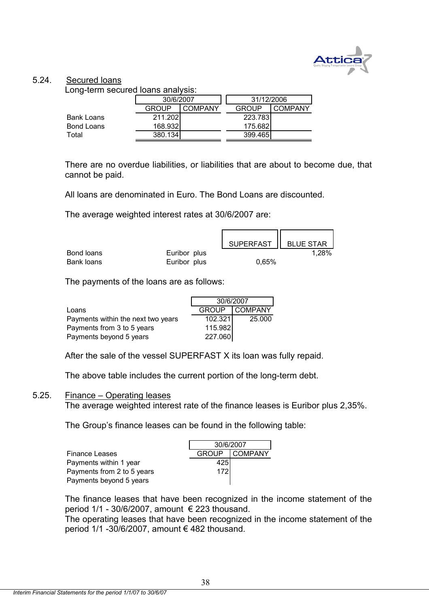

#### 5.24. Secured loans

Long-term secured loans analysis:

| -                 | 30/6/2007 |         | 31/12/2006   |         |
|-------------------|-----------|---------|--------------|---------|
|                   | GROUP     | COMPANY | <b>GROUP</b> | COMPANY |
| <b>Bank Loans</b> | 211.202   |         | 223.783      |         |
| <b>Bond Loans</b> | 168.932   |         | 175.682      |         |
| Total             | 380.134   |         | 399.465      |         |

There are no overdue liabilities, or liabilities that are about to become due, that cannot be paid.

All loans are denominated in Euro. The Bond Loans are discounted.

The average weighted interest rates at 30/6/2007 are:

|            |              | SUPERFAST   BLUE STAR |       |
|------------|--------------|-----------------------|-------|
| Bond loans | Euribor plus |                       | 1,28% |
| Bank loans | Euribor plus | 0.65%                 |       |

The payments of the loans are as follows:

|                                    | 30/6/2007    |                |  |
|------------------------------------|--------------|----------------|--|
| Loans                              | <b>GROUP</b> | <b>COMPANY</b> |  |
| Payments within the next two years | 102.321      | 25,000         |  |
| Payments from 3 to 5 years         | 115.982      |                |  |
| Payments beyond 5 years            | 227.060      |                |  |

After the sale of the vessel SUPERFAST X its loan was fully repaid.

The above table includes the current portion of the long-term debt.

#### 5.25. Finance – Operating leases

The average weighted interest rate of the finance leases is Euribor plus 2,35%.

The Group's finance leases can be found in the following table:

|                            | 30/6/2007 |               |  |
|----------------------------|-----------|---------------|--|
| Finance Leases             |           | GROUP COMPANY |  |
| Payments within 1 year     | 4251      |               |  |
| Payments from 2 to 5 years | 172       |               |  |
| Payments beyond 5 years    |           |               |  |

The finance leases that have been recognized in the income statement of the period  $1/1$  - 30/6/2007, amount  $\epsilon$  223 thousand.

The operating leases that have been recognized in the income statement of the period 1/1 -30/6/2007, amount  $\epsilon$  482 thousand.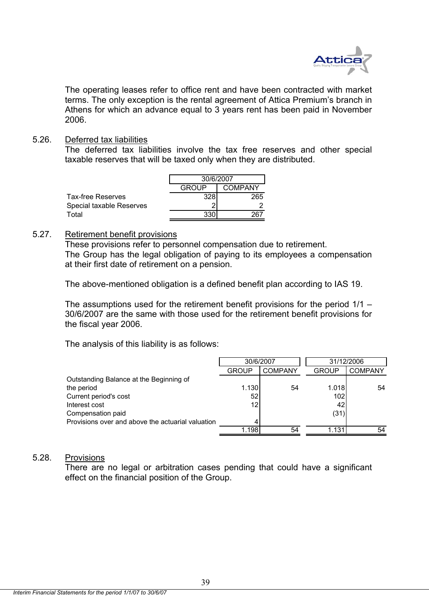

The operating leases refer to office rent and have been contracted with market terms. The only exception is the rental agreement of Attica Premium's branch in Athens for which an advance equal to 3 years rent has been paid in November 2006.

#### 5.26. Deferred tax liabilities

The deferred tax liabilities involve the tax free reserves and other special taxable reserves that will be taxed only when they are distributed.

|                          | 30/6/2007               |     |  |
|--------------------------|-------------------------|-----|--|
|                          | <b>COMPANY</b><br>GROUP |     |  |
| Tax-free Reserves        | 328                     | 265 |  |
| Special taxable Reserves |                         |     |  |
| Total                    | 330                     |     |  |

#### 5.27. Retirement benefit provisions

These provisions refer to personnel compensation due to retirement. The Group has the legal obligation of paying to its employees a compensation at their first date of retirement on a pension.

The above-mentioned obligation is a defined benefit plan according to IAS 19.

The assumptions used for the retirement benefit provisions for the period 1/1 – 30/6/2007 are the same with those used for the retirement benefit provisions for the fiscal year 2006.

The analysis of this liability is as follows:

|                                                   | 30/6/2007    |                |              | 31/12/2006     |
|---------------------------------------------------|--------------|----------------|--------------|----------------|
|                                                   | <b>GROUP</b> | <b>COMPANY</b> | <b>GROUP</b> | <b>COMPANY</b> |
| Outstanding Balance at the Beginning of           |              |                |              |                |
| the period                                        | 1.130        | 54             | 1.018        | 54             |
| Current period's cost                             | 52           |                | 102l         |                |
| Interest cost                                     | 12           |                | 42           |                |
| Compensation paid                                 |              |                | (31)         |                |
| Provisions over and above the actuarial valuation |              |                |              |                |
|                                                   | l.198l       | 54             | 1.131        | 54             |

#### 5.28. Provisions

There are no legal or arbitration cases pending that could have a significant effect on the financial position of the Group.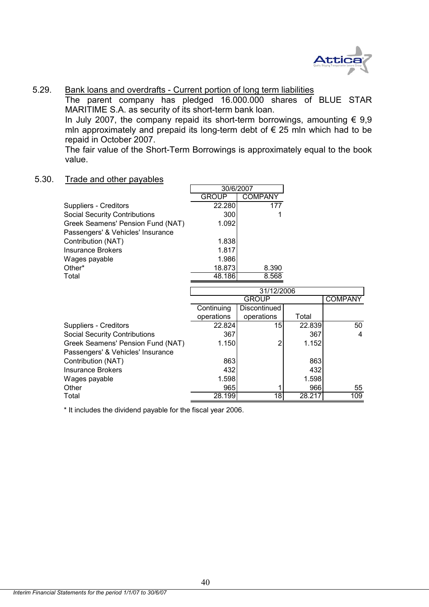

#### 5.29. Bank loans and overdrafts - Current portion of long term liabilities

The parent company has pledged 16.000.000 shares of BLUE STAR MARITIME S.A. as security of its short-term bank loan.

In July 2007, the company repaid its short-term borrowings, amounting  $\epsilon$  9,9 mln approximately and prepaid its long-term debt of  $\epsilon$  25 mln which had to be repaid in October 2007.

The fair value of the Short-Term Borrowings is approximately equal to the book value.

#### 5.30. Trade and other payables

|                                      |              | 30/6/2007      |        |                |
|--------------------------------------|--------------|----------------|--------|----------------|
|                                      | <b>GROUP</b> | <b>COMPANY</b> |        |                |
| Suppliers - Creditors                | 22.280       | 177            |        |                |
| <b>Social Security Contributions</b> | 300          |                |        |                |
| Greek Seamens' Pension Fund (NAT)    | 1.092        |                |        |                |
| Passengers' & Vehicles' Insurance    |              |                |        |                |
| Contribution (NAT)                   | 1.838        |                |        |                |
| <b>Insurance Brokers</b>             | 1.817        |                |        |                |
| Wages payable                        | 1.986        |                |        |                |
| Other*                               | 18.873       | 8.390          |        |                |
| Total                                | 48.186       | 8.568          |        |                |
|                                      |              |                |        |                |
|                                      |              | 31/12/2006     |        |                |
|                                      |              | <b>GROUP</b>   |        | <b>COMPANY</b> |
|                                      | Continuing   | Discontinued   |        |                |
|                                      | operations   | operations     | Total  |                |
| Suppliers - Creditors                | 22.824       | 15             | 22.839 | 50             |
| <b>Social Security Contributions</b> | 367          |                | 367    | 4              |
| Greek Seamens' Pension Fund (NAT)    | 1.150        | 2              | 1.152  |                |
| Passengers' & Vehicles' Insurance    |              |                |        |                |
| Contribution (NAT)                   | 863          |                | 863    |                |
| <b>Insurance Brokers</b>             | 432          |                | 432    |                |
| Wages payable                        | 1.598        |                | 1.598  |                |
| Other                                | 965          |                | 966    | 55             |
| Total                                | 28.199       | 18             | 28.217 | 109            |

\* It includes the dividend payable for the fiscal year 2006.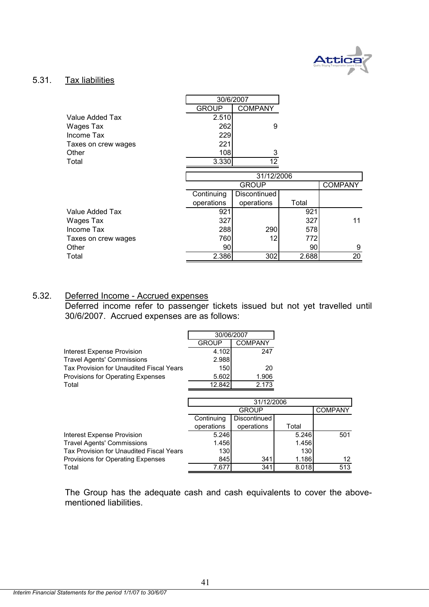

#### 5.31. Tax liabilities

|                     |            | 30/6/2007      |       |                |
|---------------------|------------|----------------|-------|----------------|
|                     | GROUP      | <b>COMPANY</b> |       |                |
| Value Added Tax     | 2.510      |                |       |                |
| Wages Tax           | 262        | 9              |       |                |
| Income Tax          | 229        |                |       |                |
| Taxes on crew wages | 221        |                |       |                |
| Other               | 108        | 3              |       |                |
| Total               | 3.330      | 12             |       |                |
|                     |            |                |       |                |
|                     |            | 31/12/2006     |       |                |
|                     |            | <b>GROUP</b>   |       | <b>COMPANY</b> |
|                     | Continuing | Discontinued   |       |                |
|                     | operations | operations     | Total |                |
| Value Added Tax     | 921        |                | 921   |                |
| Wages Tax           | 327        |                | 327   | 11             |
| Income Tax          | 288        | 290            | 578   |                |
| Taxes on crew wages | 760        | 12             | 772   |                |
| Other               | 90         |                | 90    | 9              |
| Total               | 2.386      | 302            | 2.688 | 20             |

#### 5.32. Deferred Income - Accrued expenses

Deferred income refer to passenger tickets issued but not yet travelled until 30/6/2007. Accrued expenses are as follows:

|                                          | 30/06/2007   |                |       |                |
|------------------------------------------|--------------|----------------|-------|----------------|
|                                          | GROUP        | <b>COMPANY</b> |       |                |
| Interest Expense Provision               | 4.102        | 247            |       |                |
| <b>Travel Agents' Commissions</b>        | 2.988        |                |       |                |
| Tax Provision for Unaudited Fiscal Years | 150          | 20             |       |                |
| Provisions for Operating Expenses        | 5.602        | 1.906          |       |                |
| Total                                    | 12.842       | 2.173          |       |                |
|                                          |              |                |       |                |
|                                          | 31/12/2006   |                |       |                |
|                                          | <b>GROUP</b> |                |       | <b>COMPANY</b> |
|                                          | Continuing   | Discontinued   |       |                |
|                                          | operations   | operations     | Total |                |
| Interest Expense Provision               | 5.246        |                | 5.246 | 501            |
| <b>Travel Agents' Commissions</b>        | 1.456        |                | 1.456 |                |
| Tax Provision for Unaudited Fiscal Years | 130          |                | 130   |                |
| Provisions for Operating Expenses        | 845          | 341            | 1.186 | 12             |
| Total                                    | 7.677        | 341            | 8.018 | 513            |

The Group has the adequate cash and cash equivalents to cover the abovementioned liabilities.